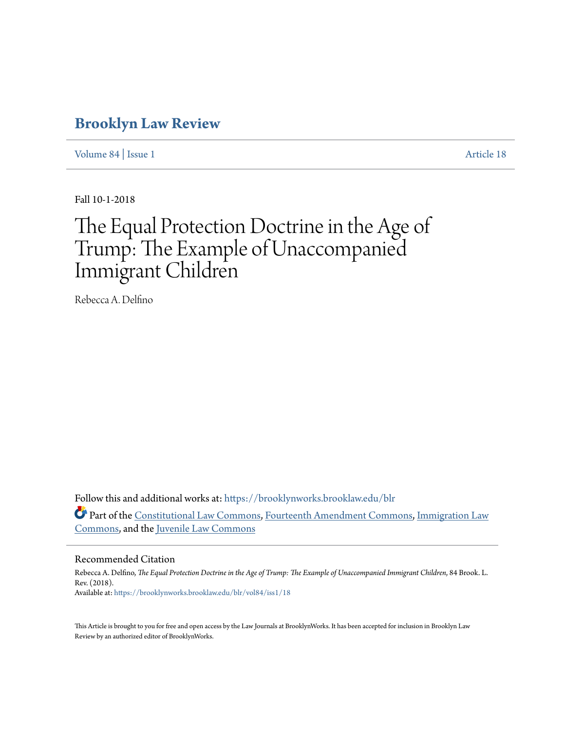## **[Brooklyn Law Review](https://brooklynworks.brooklaw.edu/blr?utm_source=brooklynworks.brooklaw.edu%2Fblr%2Fvol84%2Fiss1%2F18&utm_medium=PDF&utm_campaign=PDFCoverPages)**

[Volume 84](https://brooklynworks.brooklaw.edu/blr/vol84?utm_source=brooklynworks.brooklaw.edu%2Fblr%2Fvol84%2Fiss1%2F18&utm_medium=PDF&utm_campaign=PDFCoverPages) | [Issue 1](https://brooklynworks.brooklaw.edu/blr/vol84/iss1?utm_source=brooklynworks.brooklaw.edu%2Fblr%2Fvol84%2Fiss1%2F18&utm_medium=PDF&utm_campaign=PDFCoverPages) [Article 18](https://brooklynworks.brooklaw.edu/blr/vol84/iss1/18?utm_source=brooklynworks.brooklaw.edu%2Fblr%2Fvol84%2Fiss1%2F18&utm_medium=PDF&utm_campaign=PDFCoverPages)

Fall 10-1-2018

# The Equal Protection Doctrine in the Age of Trump: The Example of Unaccompanied Immigrant Children

Rebecca A. Delfino

Follow this and additional works at: [https://brooklynworks.brooklaw.edu/blr](https://brooklynworks.brooklaw.edu/blr?utm_source=brooklynworks.brooklaw.edu%2Fblr%2Fvol84%2Fiss1%2F18&utm_medium=PDF&utm_campaign=PDFCoverPages) Part of the [Constitutional Law Commons,](http://network.bepress.com/hgg/discipline/589?utm_source=brooklynworks.brooklaw.edu%2Fblr%2Fvol84%2Fiss1%2F18&utm_medium=PDF&utm_campaign=PDFCoverPages) [Fourteenth Amendment Commons](http://network.bepress.com/hgg/discipline/1116?utm_source=brooklynworks.brooklaw.edu%2Fblr%2Fvol84%2Fiss1%2F18&utm_medium=PDF&utm_campaign=PDFCoverPages), [Immigration Law](http://network.bepress.com/hgg/discipline/604?utm_source=brooklynworks.brooklaw.edu%2Fblr%2Fvol84%2Fiss1%2F18&utm_medium=PDF&utm_campaign=PDFCoverPages) [Commons,](http://network.bepress.com/hgg/discipline/604?utm_source=brooklynworks.brooklaw.edu%2Fblr%2Fvol84%2Fiss1%2F18&utm_medium=PDF&utm_campaign=PDFCoverPages) and the [Juvenile Law Commons](http://network.bepress.com/hgg/discipline/851?utm_source=brooklynworks.brooklaw.edu%2Fblr%2Fvol84%2Fiss1%2F18&utm_medium=PDF&utm_campaign=PDFCoverPages)

#### Recommended Citation

Rebecca A. Delfino, *The Equal Protection Doctrine in the Age of Trump: The Example of Unaccompanied Immigrant Children*, 84 Brook. L. Rev. (2018). Available at: [https://brooklynworks.brooklaw.edu/blr/vol84/iss1/18](https://brooklynworks.brooklaw.edu/blr/vol84/iss1/18?utm_source=brooklynworks.brooklaw.edu%2Fblr%2Fvol84%2Fiss1%2F18&utm_medium=PDF&utm_campaign=PDFCoverPages)

This Article is brought to you for free and open access by the Law Journals at BrooklynWorks. It has been accepted for inclusion in Brooklyn Law Review by an authorized editor of BrooklynWorks.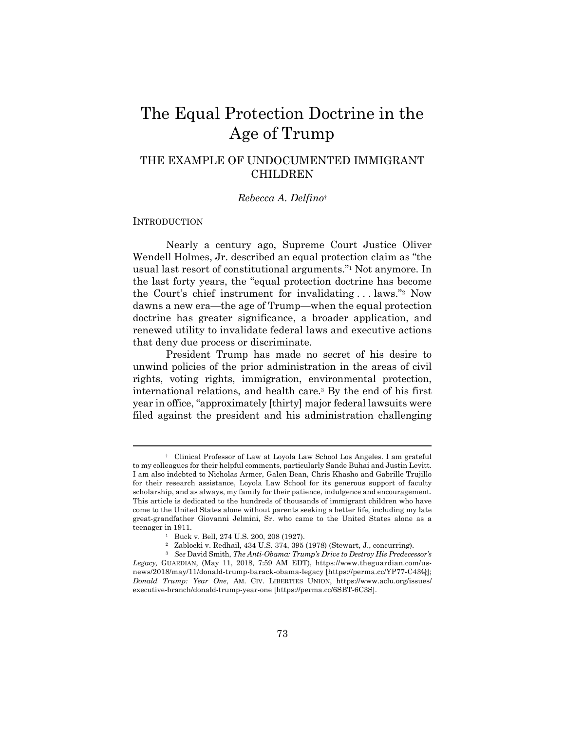## The Equal Protection Doctrine in the Age of Trump

### THE EXAMPLE OF UNDOCUMENTED IMMIGRANT CHILDREN

#### *Rebecca A. Delfino*†

#### INTRODUCTION

Nearly a century ago, Supreme Court Justice Oliver Wendell Holmes, Jr. described an equal protection claim as "the usual last resort of constitutional arguments."1 Not anymore. In the last forty years, the "equal protection doctrine has become the Court's chief instrument for invalidating . . . laws."2 Now dawns a new era—the age of Trump—when the equal protection doctrine has greater significance, a broader application, and renewed utility to invalidate federal laws and executive actions that deny due process or discriminate.

President Trump has made no secret of his desire to unwind policies of the prior administration in the areas of civil rights, voting rights, immigration, environmental protection, international relations, and health care.3 By the end of his first year in office, "approximately [thirty] major federal lawsuits were filed against the president and his administration challenging

 <sup>†</sup> Clinical Professor of Law at Loyola Law School Los Angeles. I am grateful to my colleagues for their helpful comments, particularly Sande Buhai and Justin Levitt. I am also indebted to Nicholas Armer, Galen Bean, Chris Khasho and Gabrille Trujillo for their research assistance, Loyola Law School for its generous support of faculty scholarship, and as always, my family for their patience, indulgence and encouragement. This article is dedicated to the hundreds of thousands of immigrant children who have come to the United States alone without parents seeking a better life, including my late great-grandfather Giovanni Jelmini, Sr. who came to the United States alone as a teenager in 1911.<br><sup>1</sup> Buck v. Bell, 274 U.S. 200, 208 (1927).

<sup>2</sup> Zablocki v. Redhail, 434 U.S. 374, 395 (1978) (Stewart, J., concurring).

<sup>3</sup> *See* David Smith, *The Anti-Obama: Trump's Drive to Destroy His Predecessor's Legacy,* GUARDIAN, (May 11, 2018, 7:59 AM EDT), https://www.theguardian.com/usnews/2018/may/11/donald-trump-barack-obama-legacy [https://perma.cc/YP77-C43Q]; *Donald Trump: Year One*, AM. CIV. LIBERTIES UNION, https://www.aclu.org/issues/ executive-branch/donald-trump-year-one [https://perma.cc/6SBT-6C3S].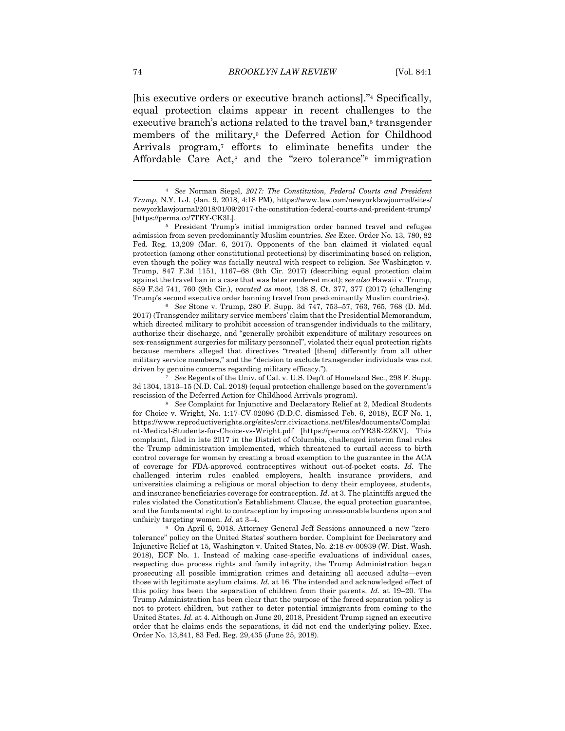[his executive orders or executive branch actions]."4 Specifically, equal protection claims appear in recent challenges to the executive branch's actions related to the travel ban,<sup>5</sup> transgender members of the military,<sup>6</sup> the Deferred Action for Childhood Arrivals program,<sup>7</sup> efforts to eliminate benefits under the Affordable Care Act,8 and the "zero tolerance"9 immigration

2017) (Transgender military service members' claim that the Presidential Memorandum, which directed military to prohibit accession of transgender individuals to the military, authorize their discharge, and "generally prohibit expenditure of military resources on sex-reassignment surgeries for military personnel", violated their equal protection rights because members alleged that directives "treated [them] differently from all other military service members," and the "decision to exclude transgender individuals was not driven by genuine concerns regarding military efficacy."). 7 *See* Regents of the Univ. of Cal. v. U.S. Dep't of Homeland Sec., 298 F. Supp.

3d 1304, 1313–15 (N.D. Cal. 2018) (equal protection challenge based on the government's rescission of the Deferred Action for Childhood Arrivals program). 8 *See* Complaint for Injunctive and Declaratory Relief at 2, Medical Students

for Choice v. Wright, No. 1:17-CV-02096 (D.D.C. dismissed Feb. 6, 2018), ECF No. 1, https://www.reproductiverights.org/sites/crr.civicactions.net/files/documents/Complai nt-Medical-Students-for-Choice-vs-Wright.pdf [https://perma.cc/YR3R-2ZKV]. This complaint, filed in late 2017 in the District of Columbia, challenged interim final rules the Trump administration implemented, which threatened to curtail access to birth control coverage for women by creating a broad exemption to the guarantee in the ACA of coverage for FDA-approved contraceptives without out-of-pocket costs. *Id.* The challenged interim rules enabled employers, health insurance providers, and universities claiming a religious or moral objection to deny their employees, students, and insurance beneficiaries coverage for contraception. *Id.* at 3. The plaintiffs argued the rules violated the Constitution's Establishment Clause, the equal protection guarantee, and the fundamental right to contraception by imposing unreasonable burdens upon and unfairly targeting women. *Id.* at 3–4.<br><sup>9</sup> On April 6, 2018, Attorney General Jeff Sessions announced a new "zero-

tolerance" policy on the United States' southern border. Complaint for Declaratory and Injunctive Relief at 15, Washington v. United States, No. 2:18-cv-00939 (W. Dist. Wash. 2018), ECF No. 1. Instead of making case-specific evaluations of individual cases, respecting due process rights and family integrity, the Trump Administration began prosecuting all possible immigration crimes and detaining all accused adults—even those with legitimate asylum claims. *Id.* at 16. The intended and acknowledged effect of this policy has been the separation of children from their parents. *Id.* at 19–20. The Trump Administration has been clear that the purpose of the forced separation policy is not to protect children, but rather to deter potential immigrants from coming to the United States. *Id.* at 4. Although on June 20, 2018, President Trump signed an executive order that he claims ends the separations, it did not end the underlying policy. Exec. Order No. 13,841, 83 Fed. Reg. 29,435 (June 25, 2018).

<sup>4</sup> *See* Norman Siegel, *2017: The Constitution, Federal Courts and President Trump*, N.Y. L.J. (Jan. 9, 2018, 4:18 PM), https://www.law.com/newyorklawjournal/sites/ newyorklawjournal/2018/01/09/2017-the-constitution-federal-courts-and-president-trump/ [https://perma.cc/7TEY-CK3L]. 5 President Trump's initial immigration order banned travel and refugee

admission from seven predominantly Muslim countries. *See* Exec. Order No. 13, 780, 82 Fed. Reg. 13,209 (Mar. 6, 2017). Opponents of the ban claimed it violated equal protection (among other constitutional protections) by discriminating based on religion, even though the policy was facially neutral with respect to religion. *See* Washington v. Trump, 847 F.3d 1151, 1167–68 (9th Cir. 2017) (describing equal protection claim against the travel ban in a case that was later rendered moot); *see also* Hawaii v. Trump, 859 F.3d 741, 760 (9th Cir.), *vacated as moot*, 138 S. Ct. 377, 377 (2017) (challenging Trump's second executive order banning travel from predominantly Muslim countries). 6 *See* Stone v. Trump, 280 F. Supp. 3d 747, 753–57, 763, 765, 768 (D. Md.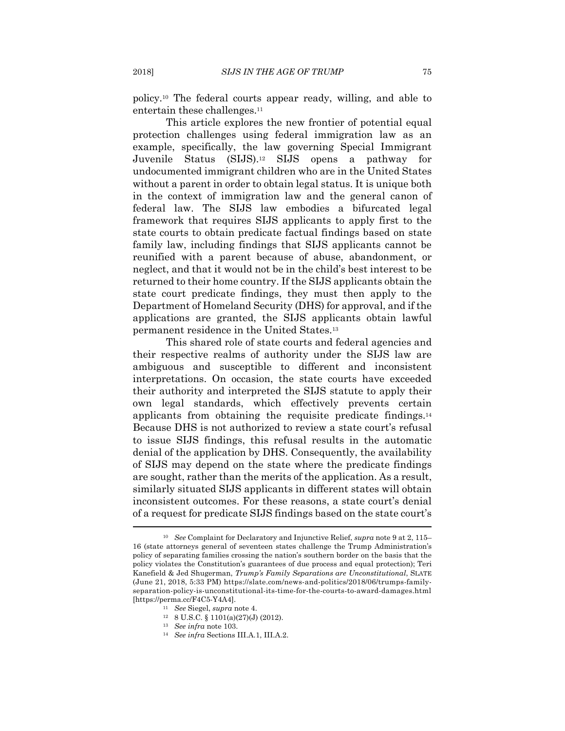policy.10 The federal courts appear ready, willing, and able to entertain these challenges.<sup>11</sup>

This article explores the new frontier of potential equal protection challenges using federal immigration law as an example, specifically, the law governing Special Immigrant Juvenile Status (SIJS).12 SIJS opens a pathway for undocumented immigrant children who are in the United States without a parent in order to obtain legal status. It is unique both in the context of immigration law and the general canon of federal law. The SIJS law embodies a bifurcated legal framework that requires SIJS applicants to apply first to the state courts to obtain predicate factual findings based on state family law, including findings that SIJS applicants cannot be reunified with a parent because of abuse, abandonment, or neglect, and that it would not be in the child's best interest to be returned to their home country. If the SIJS applicants obtain the state court predicate findings, they must then apply to the Department of Homeland Security (DHS) for approval, and if the applications are granted, the SIJS applicants obtain lawful permanent residence in the United States.13

This shared role of state courts and federal agencies and their respective realms of authority under the SIJS law are ambiguous and susceptible to different and inconsistent interpretations. On occasion, the state courts have exceeded their authority and interpreted the SIJS statute to apply their own legal standards, which effectively prevents certain applicants from obtaining the requisite predicate findings.14 Because DHS is not authorized to review a state court's refusal to issue SIJS findings, this refusal results in the automatic denial of the application by DHS. Consequently, the availability of SIJS may depend on the state where the predicate findings are sought, rather than the merits of the application. As a result, similarly situated SIJS applicants in different states will obtain inconsistent outcomes. For these reasons, a state court's denial of a request for predicate SIJS findings based on the state court's

<sup>10</sup> *See* Complaint for Declaratory and Injunctive Relief, *supra* note 9 at 2, 115– 16 (state attorneys general of seventeen states challenge the Trump Administration's policy of separating families crossing the nation's southern border on the basis that the policy violates the Constitution's guarantees of due process and equal protection); Teri Kanefield & Jed Shugerman, *Trump's Family Separations are Unconstitutional*, SLATE (June 21, 2018, 5:33 PM) https://slate.com/news-and-politics/2018/06/trumps-familyseparation-policy-is-unconstitutional-its-time-for-the-courts-to-award-damages.html [https://perma.cc/F4C5-Y4A4]. 11 *See* Siegel, *supra* note 4. 12 8 U.S.C. § 1101(a)(27)(J) (2012).

<sup>13</sup> *See infra* note 103. 14 *See infra* Sections III.A.1, III.A.2.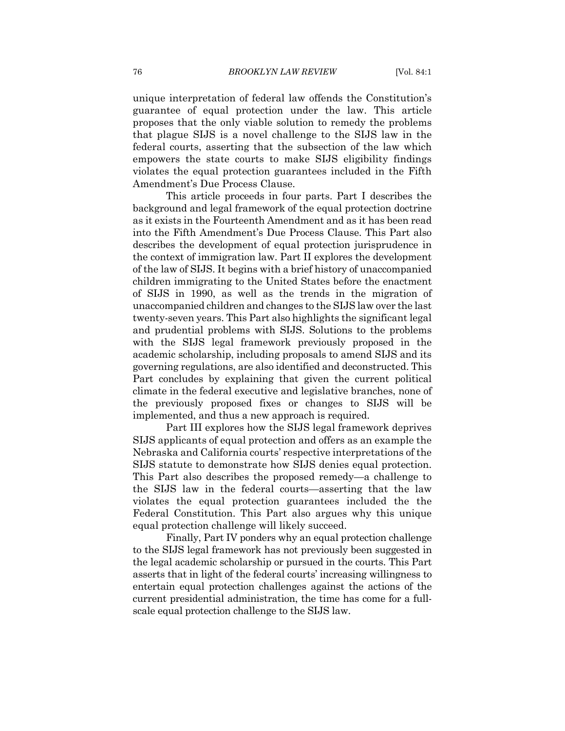unique interpretation of federal law offends the Constitution's guarantee of equal protection under the law. This article proposes that the only viable solution to remedy the problems that plague SIJS is a novel challenge to the SIJS law in the federal courts, asserting that the subsection of the law which empowers the state courts to make SIJS eligibility findings violates the equal protection guarantees included in the Fifth Amendment's Due Process Clause.

This article proceeds in four parts. Part I describes the background and legal framework of the equal protection doctrine as it exists in the Fourteenth Amendment and as it has been read into the Fifth Amendment's Due Process Clause. This Part also describes the development of equal protection jurisprudence in the context of immigration law. Part II explores the development of the law of SIJS. It begins with a brief history of unaccompanied children immigrating to the United States before the enactment of SIJS in 1990, as well as the trends in the migration of unaccompanied children and changes to the SIJS law over the last twenty-seven years. This Part also highlights the significant legal and prudential problems with SIJS. Solutions to the problems with the SIJS legal framework previously proposed in the academic scholarship, including proposals to amend SIJS and its governing regulations, are also identified and deconstructed. This Part concludes by explaining that given the current political climate in the federal executive and legislative branches, none of the previously proposed fixes or changes to SIJS will be implemented, and thus a new approach is required.

Part III explores how the SIJS legal framework deprives SIJS applicants of equal protection and offers as an example the Nebraska and California courts' respective interpretations of the SIJS statute to demonstrate how SIJS denies equal protection. This Part also describes the proposed remedy—a challenge to the SIJS law in the federal courts—asserting that the law violates the equal protection guarantees included the the Federal Constitution. This Part also argues why this unique equal protection challenge will likely succeed.

Finally, Part IV ponders why an equal protection challenge to the SIJS legal framework has not previously been suggested in the legal academic scholarship or pursued in the courts. This Part asserts that in light of the federal courts' increasing willingness to entertain equal protection challenges against the actions of the current presidential administration, the time has come for a fullscale equal protection challenge to the SIJS law.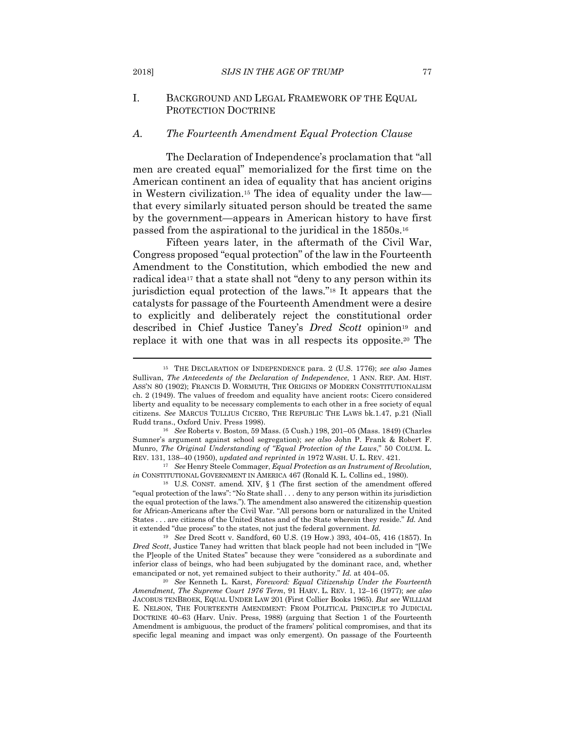I. BACKGROUND AND LEGAL FRAMEWORK OF THE EQUAL PROTECTION DOCTRINE

#### *A. The Fourteenth Amendment Equal Protection Clause*

The Declaration of Independence's proclamation that "all men are created equal" memorialized for the first time on the American continent an idea of equality that has ancient origins in Western civilization.15 The idea of equality under the law that every similarly situated person should be treated the same by the government—appears in American history to have first passed from the aspirational to the juridical in the 1850s.16

Fifteen years later, in the aftermath of the Civil War, Congress proposed "equal protection" of the law in the Fourteenth Amendment to the Constitution, which embodied the new and radical idea<sup>17</sup> that a state shall not "deny to any person within its jurisdiction equal protection of the laws."18 It appears that the catalysts for passage of the Fourteenth Amendment were a desire to explicitly and deliberately reject the constitutional order described in Chief Justice Taney's *Dred Scott* opinion<sup>19</sup> and replace it with one that was in all respects its opposite.20 The

*in* CONSTITUTIONAL GOVERNMENT IN AMERICA 467 (Ronald K. L. Collins ed., 1980). <sup>18</sup> U.S. CONST. amend. XIV, § 1 (The first section of the amendment offered

<sup>19</sup> *See* Dred Scott v. Sandford, 60 U.S. (19 How.) 393, 404–05, 416 (1857). In *Dred Scott*, Justice Taney had written that black people had not been included in "[We the P]eople of the United States" because they were "considered as a subordinate and inferior class of beings, who had been subjugated by the dominant race, and, whether emancipated or not, yet remained subject to their authority." *Id.* at 404–05. 20 *See* Kenneth L. Karst, *Foreword: Equal Citizenship Under the Fourteenth* 

*Amendment*, *The Supreme Court 1976 Term*, 91 HARV. L. REV. 1, 12–16 (1977); *see also* JACOBUS TENBROEK, EQUAL UNDER LAW 201 (First Collier Books 1965). *But see* WILLIAM E. NELSON, THE FOURTEENTH AMENDMENT: FROM POLITICAL PRINCIPLE TO JUDICIAL DOCTRINE 40–63 (Harv. Univ. Press, 1988) (arguing that Section 1 of the Fourteenth Amendment is ambiguous, the product of the framers' political compromises, and that its specific legal meaning and impact was only emergent). On passage of the Fourteenth

<sup>15</sup> THE DECLARATION OF INDEPENDENCE para. 2 (U.S. 1776); *see also* James Sullivan, *The Antecedents of the Declaration of Independence*, 1 ANN. REP. AM. HIST. ASS'N 80 (1902); FRANCIS D. WORMUTH, THE ORIGINS OF MODERN CONSTITUTIONALISM ch. 2 (1949). The values of freedom and equality have ancient roots: Cicero considered liberty and equality to be necessary complements to each other in a free society of equal citizens. *See* MARCUS TULLIUS CICERO, THE REPUBLIC THE LAWS bk.1.47, p.21 (Niall Rudd trans., Oxford Univ. Press 1998). 16 *See* Roberts v. Boston, 59 Mass. (5 Cush.) 198, 201–05 (Mass. 1849) (Charles

Sumner's argument against school segregation); *see also* John P. Frank & Robert F. Munro, *The Original Understanding of "Equal Protection of the Laws*," 50 COLUM. L. REV. 131, 138–40 (1950), *updated and reprinted in* 1972 WASH. U. L. REV. 421. 17 *See* Henry Steele Commager, *Equal Protection as an Instrument of Revolution,* 

<sup>&</sup>quot;equal protection of the laws": "No State shall . . . deny to any person within its jurisdiction the equal protection of the laws."). The amendment also answered the citizenship question for African-Americans after the Civil War. "All persons born or naturalized in the United States . . . are citizens of the United States and of the State wherein they reside." *Id.* And it extended "due process" to the states, not just the federal government. *Id.*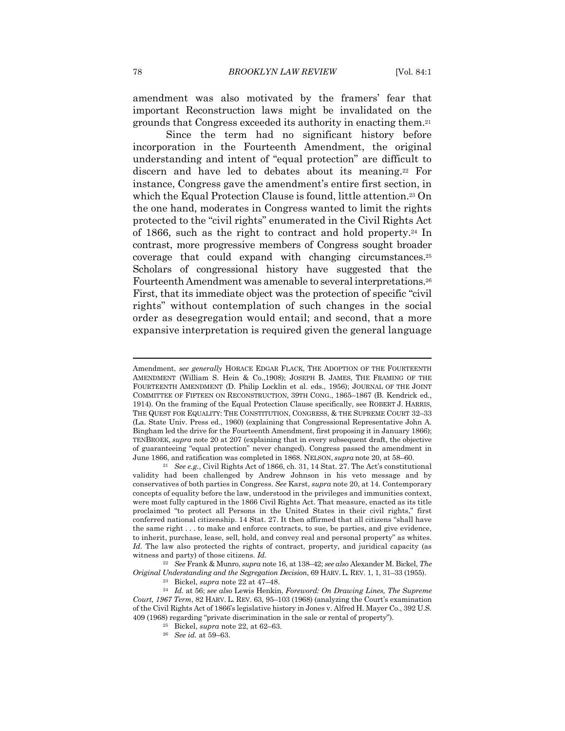amendment was also motivated by the framers' fear that important Reconstruction laws might be invalidated on the grounds that Congress exceeded its authority in enacting them.21

Since the term had no significant history before incorporation in the Fourteenth Amendment, the original understanding and intent of "equal protection" are difficult to discern and have led to debates about its meaning.<sup>22</sup> For instance, Congress gave the amendment's entire first section, in which the Equal Protection Clause is found, little attention.<sup>23</sup> On the one hand, moderates in Congress wanted to limit the rights protected to the "civil rights" enumerated in the Civil Rights Act of 1866, such as the right to contract and hold property.24 In contrast, more progressive members of Congress sought broader coverage that could expand with changing circumstances.25 Scholars of congressional history have suggested that the Fourteenth Amendment was amenable to several interpretations.26 First, that its immediate object was the protection of specific "civil rights" without contemplation of such changes in the social order as desegregation would entail; and second, that a more expansive interpretation is required given the general language

<sup>22</sup> *See* Frank & Munro, *supra* note 16, at 138–42; *see also* Alexander M. Bickel, *The*  Original Understanding and the Segregation Decision, 69 HARV. L. REV. 1, 1, 31–33 (1955).<br><sup>23</sup> Bickel, *supra* note 22 at 47–48.<br><sup>24</sup> Id. at 56; *see also* Lewis Henkin, *Foreword: On Drawing Lines, The Supreme* 

Amendment, *see generally* HORACE EDGAR FLACK, THE ADOPTION OF THE FOURTEENTH AMENDMENT (William S. Hein & Co.,1908); JOSEPH B. JAMES, THE FRAMING OF THE FOURTEENTH AMENDMENT (D. Philip Locklin et al. eds., 1956); JOURNAL OF THE JOINT COMMITTEE OF FIFTEEN ON RECONSTRUCTION, 39TH CONG., 1865–1867 (B. Kendrick ed., 1914). On the framing of the Equal Protection Clause specifically, see ROBERT J. HARRIS, THE QUEST FOR EQUALITY: THE CONSTITUTION, CONGRESS, & THE SUPREME COURT 32–33 (La. State Univ. Press ed., 1960) (explaining that Congressional Representative John A. Bingham led the drive for the Fourteenth Amendment, first proposing it in January 1866); TENBROEK, *supra* note 20 at 207 (explaining that in every subsequent draft, the objective of guaranteeing "equal protection" never changed). Congress passed the amendment in June 1866, and ratification was completed in 1868. NELSON, *supra* note 20, at 58–60. 21 *See e.g.*, Civil Rights Act of 1866, ch. 31, 14 Stat. 27. The Act's constitutional

validity had been challenged by Andrew Johnson in his veto message and by conservatives of both parties in Congress. *See* Karst, *supra* note 20, at 14. Contemporary concepts of equality before the law, understood in the privileges and immunities context, were most fully captured in the 1866 Civil Rights Act. That measure, enacted as its title proclaimed "to protect all Persons in the United States in their civil rights," first conferred national citizenship. 14 Stat. 27. It then affirmed that all citizens "shall have the same right . . . to make and enforce contracts, to sue, be parties, and give evidence, to inherit, purchase, lease, sell, hold, and convey real and personal property" as whites. Id. The law also protected the rights of contract, property, and juridical capacity (as witness and party) of those citizens. *Id.*

*Court, 1967 Term*, 82 HARV. L. REV. 63, 95–103 (1968) (analyzing the Court's examination of the Civil Rights Act of 1866's legislative history in Jones v. Alfred H. Mayer Co., 392 U.S. 409 (1968) regarding "private discrimination in the sale or rental of property"). 25 Bickel, *supra* note 22, at 62–63. 26 *See id.* at 59–63.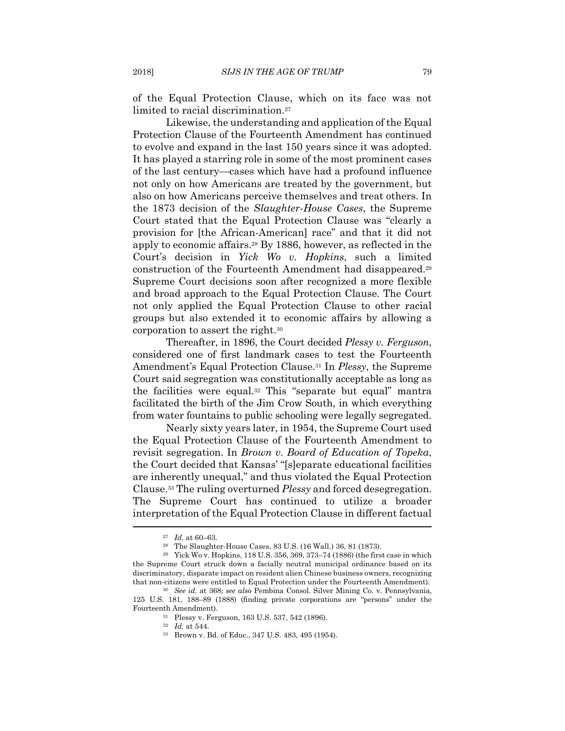of the Equal Protection Clause, which on its face was not limited to racial discrimination.27

Likewise, the understanding and application of the Equal Protection Clause of the Fourteenth Amendment has continued to evolve and expand in the last 150 years since it was adopted. It has played a starring role in some of the most prominent cases of the last century—cases which have had a profound influence not only on how Americans are treated by the government, but also on how Americans perceive themselves and treat others. In the 1873 decision of the *Slaughter-House Cases*, the Supreme Court stated that the Equal Protection Clause was "clearly a provision for [the African-American] race" and that it did not apply to economic affairs.28 By 1886, however, as reflected in the Court's decision in *Yick Wo v. Hopkins*, such a limited construction of the Fourteenth Amendment had disappeared.29 Supreme Court decisions soon after recognized a more flexible and broad approach to the Equal Protection Clause. The Court not only applied the Equal Protection Clause to other racial groups but also extended it to economic affairs by allowing a corporation to assert the right.30

Thereafter, in 1896, the Court decided *Plessy v. Ferguson*, considered one of first landmark cases to test the Fourteenth Amendment's Equal Protection Clause.31 In *Plessy*, the Supreme Court said segregation was constitutionally acceptable as long as the facilities were equal.32 This "separate but equal" mantra facilitated the birth of the Jim Crow South, in which everything from water fountains to public schooling were legally segregated.

Nearly sixty years later, in 1954, the Supreme Court used the Equal Protection Clause of the Fourteenth Amendment to revisit segregation. In *Brown v. Board of Education of Topeka*, the Court decided that Kansas' "[s]eparate educational facilities are inherently unequal," and thus violated the Equal Protection Clause.33 The ruling overturned *Plessy* and forced desegregation. The Supreme Court has continued to utilize a broader interpretation of the Equal Protection Clause in different factual

<sup>27</sup> *Id.* at 60–63. 28 The Slaughter-House Cases, 83 U.S. (16 Wall.) 36, 81 (1873).

<sup>29</sup> Yick Wo v. Hopkins, 118 U.S. 356, 369, 373–74 (1886) (the first case in which the Supreme Court struck down a facially neutral municipal ordinance based on its discriminatory, disparate impact on resident alien Chinese business owners, recognizing that non-citizens were entitled to Equal Protection under the Fourteenth Amendment). 30 *See id.* at 368; *see also* Pembina Consol. Silver Mining Co. v. Pennsylvania,

<sup>125</sup> U.S. 181, 188–89 (1888) (finding private corporations are "persons" under the Fourteenth Amendment). 31 Plessy v. Ferguson, 163 U.S. 537, 542 (1896).

<sup>32</sup> *Id.* at 544. 33 Brown v. Bd. of Educ., 347 U.S. 483, 495 (1954).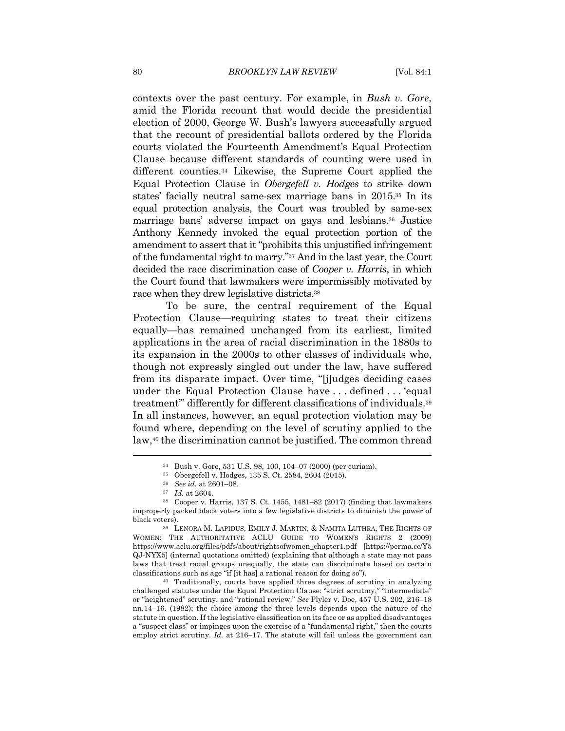contexts over the past century. For example, in *Bush v. Gore*, amid the Florida recount that would decide the presidential election of 2000, George W. Bush's lawyers successfully argued that the recount of presidential ballots ordered by the Florida courts violated the Fourteenth Amendment's Equal Protection Clause because different standards of counting were used in different counties.34 Likewise, the Supreme Court applied the Equal Protection Clause in *Obergefell v. Hodges* to strike down states' facially neutral same-sex marriage bans in 2015.35 In its equal protection analysis, the Court was troubled by same-sex marriage bans' adverse impact on gays and lesbians.36 Justice Anthony Kennedy invoked the equal protection portion of the amendment to assert that it "prohibits this unjustified infringement of the fundamental right to marry."37 And in the last year, the Court decided the race discrimination case of *Cooper v. Harris*, in which the Court found that lawmakers were impermissibly motivated by race when they drew legislative districts.38

To be sure, the central requirement of the Equal Protection Clause—requiring states to treat their citizens equally—has remained unchanged from its earliest, limited applications in the area of racial discrimination in the 1880s to its expansion in the 2000s to other classes of individuals who, though not expressly singled out under the law, have suffered from its disparate impact. Over time, "[j]udges deciding cases under the Equal Protection Clause have . . . defined . . . 'equal treatment'" differently for different classifications of individuals.39 In all instances, however, an equal protection violation may be found where, depending on the level of scrutiny applied to the law,40 the discrimination cannot be justified. The common thread

challenged statutes under the Equal Protection Clause: "strict scrutiny," "intermediate" or "heightened" scrutiny, and "rational review." *See* Plyler v. Doe, 457 U.S. 202, 216–18 nn.14–16. (1982); the choice among the three levels depends upon the nature of the statute in question. If the legislative classification on its face or as applied disadvantages a "suspect class" or impinges upon the exercise of a "fundamental right," then the courts employ strict scrutiny. *Id.* at 216–17. The statute will fail unless the government can

<sup>34</sup> Bush v. Gore, 531 U.S. 98, 100, 104–07 (2000) (per curiam).

<sup>35</sup> Obergefell v. Hodges, 135 S. Ct. 2584, 2604 (2015).

<sup>36</sup> *See id.* at 2601–08. 37 *Id.* at 2604. 38 Cooper v. Harris, 137 S. Ct. 1455, 1481–82 (2017) (finding that lawmakers improperly packed black voters into a few legislative districts to diminish the power of black voters). 39 LENORA M. LAPIDUS, EMILY J. MARTIN, & NAMITA LUTHRA, THE RIGHTS OF

WOMEN: THE AUTHORITATIVE ACLU GUIDE TO WOMEN'S RIGHTS 2 (2009) https://www.aclu.org/files/pdfs/about/rightsofwomen\_chapter1.pdf [https://perma.cc/Y5 QJ-NYX5] (internal quotations omitted) (explaining that although a state may not pass laws that treat racial groups unequally, the state can discriminate based on certain classifications such as age "if [it has] a rational reason for doing so"). 40 Traditionally, courts have applied three degrees of scrutiny in analyzing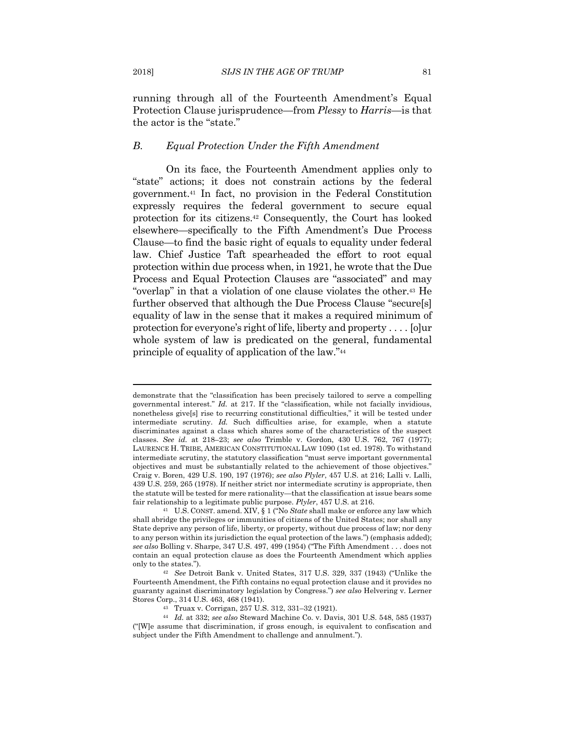running through all of the Fourteenth Amendment's Equal Protection Clause jurisprudence—from *Plessy* to *Harris*—is that the actor is the "state."

#### *B. Equal Protection Under the Fifth Amendment*

On its face, the Fourteenth Amendment applies only to "state" actions; it does not constrain actions by the federal government.41 In fact, no provision in the Federal Constitution expressly requires the federal government to secure equal protection for its citizens.42 Consequently, the Court has looked elsewhere—specifically to the Fifth Amendment's Due Process Clause—to find the basic right of equals to equality under federal law. Chief Justice Taft spearheaded the effort to root equal protection within due process when, in 1921, he wrote that the Due Process and Equal Protection Clauses are "associated" and may "overlap" in that a violation of one clause violates the other.43 He further observed that although the Due Process Clause "secure[s] equality of law in the sense that it makes a required minimum of protection for everyone's right of life, liberty and property . . . . [o]ur whole system of law is predicated on the general, fundamental principle of equality of application of the law."44

demonstrate that the "classification has been precisely tailored to serve a compelling governmental interest." *Id.* at 217. If the "classification, while not facially invidious, nonetheless give[s] rise to recurring constitutional difficulties," it will be tested under intermediate scrutiny. *Id.* Such difficulties arise, for example, when a statute discriminates against a class which shares some of the characteristics of the suspect classes. *See id.* at 218–23; *see also* Trimble v. Gordon, 430 U.S. 762, 767 (1977); LAURENCE H. TRIBE, AMERICAN CONSTITUTIONAL LAW 1090 (1st ed. 1978). To withstand intermediate scrutiny, the statutory classification "must serve important governmental objectives and must be substantially related to the achievement of those objectives." Craig v. Boren, 429 U.S. 190, 197 (1976); *see also Plyler*, 457 U.S. at 216; Lalli v. Lalli, 439 U.S. 259, 265 (1978). If neither strict nor intermediate scrutiny is appropriate, then the statute will be tested for mere rationality—that the classification at issue bears some fair relationship to a legitimate public purpose. *Plyler*, 457 U.S. at 216.<br><sup>41</sup> U.S. CONST. amend. XIV, § 1 ("No *State* shall make or enforce any law which

shall abridge the privileges or immunities of citizens of the United States; nor shall any State deprive any person of life, liberty, or property, without due process of law; nor deny to any person within its jurisdiction the equal protection of the laws.") (emphasis added); *see also* Bolling v. Sharpe, 347 U.S. 497, 499 (1954) ("The Fifth Amendment . . . does not contain an equal protection clause as does the Fourteenth Amendment which applies only to the states."). 42 *See* Detroit Bank v. United States, 317 U.S. 329, 337 (1943) ("Unlike the

Fourteenth Amendment, the Fifth contains no equal protection clause and it provides no guaranty against discriminatory legislation by Congress.") *see also* Helvering v. Lerner Stores Corp., 314 U.S. 463, 468 (1941). 43 Truax v. Corrigan, 257 U.S. 312, 331–32 (1921).

<sup>44</sup> *Id.* at 332; *see also* Steward Machine Co. v. Davis, 301 U.S. 548, 585 (1937) ("[W]e assume that discrimination, if gross enough, is equivalent to confiscation and subject under the Fifth Amendment to challenge and annulment.").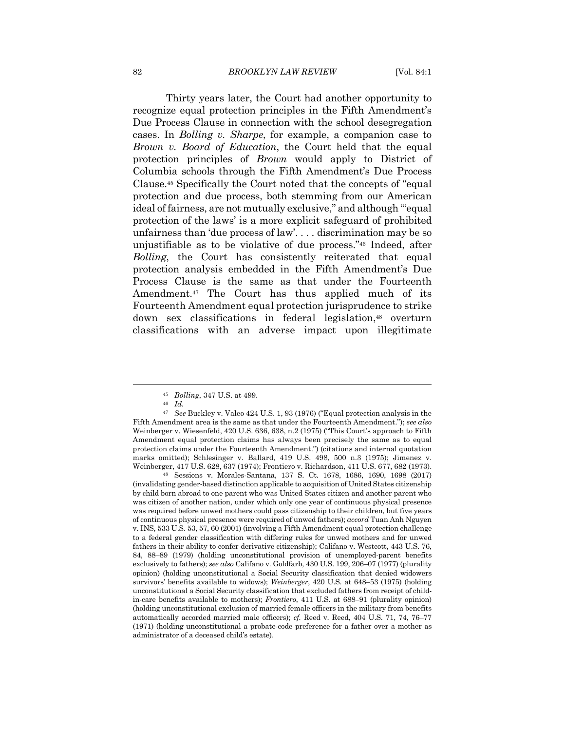Thirty years later, the Court had another opportunity to recognize equal protection principles in the Fifth Amendment's Due Process Clause in connection with the school desegregation cases. In *Bolling v. Sharpe*, for example, a companion case to *Brown v. Board of Education*, the Court held that the equal protection principles of *Brown* would apply to District of Columbia schools through the Fifth Amendment's Due Process Clause.45 Specifically the Court noted that the concepts of "equal protection and due process, both stemming from our American ideal of fairness, are not mutually exclusive," and although "'equal protection of the laws' is a more explicit safeguard of prohibited unfairness than 'due process of law'. . . . discrimination may be so unjustifiable as to be violative of due process."46 Indeed, after *Bolling*, the Court has consistently reiterated that equal protection analysis embedded in the Fifth Amendment's Due Process Clause is the same as that under the Fourteenth Amendment.47 The Court has thus applied much of its Fourteenth Amendment equal protection jurisprudence to strike down sex classifications in federal legislation,48 overturn classifications with an adverse impact upon illegitimate

<sup>45</sup> *Bolling*, 347 U.S. at 499. 46 *Id.*

<sup>47</sup> *See* Buckley v. Valeo 424 U.S. 1, 93 (1976) ("Equal protection analysis in the Fifth Amendment area is the same as that under the Fourteenth Amendment."); *see also*  Weinberger v. Wiesenfeld, 420 U.S. 636, 638, n.2 (1975) ("This Court's approach to Fifth Amendment equal protection claims has always been precisely the same as to equal protection claims under the Fourteenth Amendment.") (citations and internal quotation marks omitted); Schlesinger v. Ballard, 419 U.S. 498, 500 n.3 (1975); Jimenez v. Weinberger, 417 U.S. 628, 637 (1974); Frontiero v. Richardson, 411 U.S. 677, 682 (1973). 48 Sessions v. Morales-Santana, 137 S. Ct. 1678, 1686, 1690, 1698 (2017)

<sup>(</sup>invalidating gender-based distinction applicable to acquisition of United States citizenship by child born abroad to one parent who was United States citizen and another parent who was citizen of another nation, under which only one year of continuous physical presence was required before unwed mothers could pass citizenship to their children, but five years of continuous physical presence were required of unwed fathers); *accord* Tuan Anh Nguyen v. INS, 533 U.S. 53, 57, 60 (2001) (involving a Fifth Amendment equal protection challenge to a federal gender classification with differing rules for unwed mothers and for unwed fathers in their ability to confer derivative citizenship); Califano v. Westcott, 443 U.S. 76, 84, 88–89 (1979) (holding unconstitutional provision of unemployed-parent benefits exclusively to fathers); *see also* Califano v. Goldfarb, 430 U.S. 199, 206–07 (1977) (plurality opinion) (holding unconstitutional a Social Security classification that denied widowers survivors' benefits available to widows); *Weinberger*, 420 U.S. at 648–53 (1975) (holding unconstitutional a Social Security classification that excluded fathers from receipt of childin-care benefits available to mothers); *Frontiero*, 411 U.S. at 688–91 (plurality opinion) (holding unconstitutional exclusion of married female officers in the military from benefits automatically accorded married male officers); *cf.* Reed v. Reed, 404 U.S. 71, 74, 76–77 (1971) (holding unconstitutional a probate-code preference for a father over a mother as administrator of a deceased child's estate).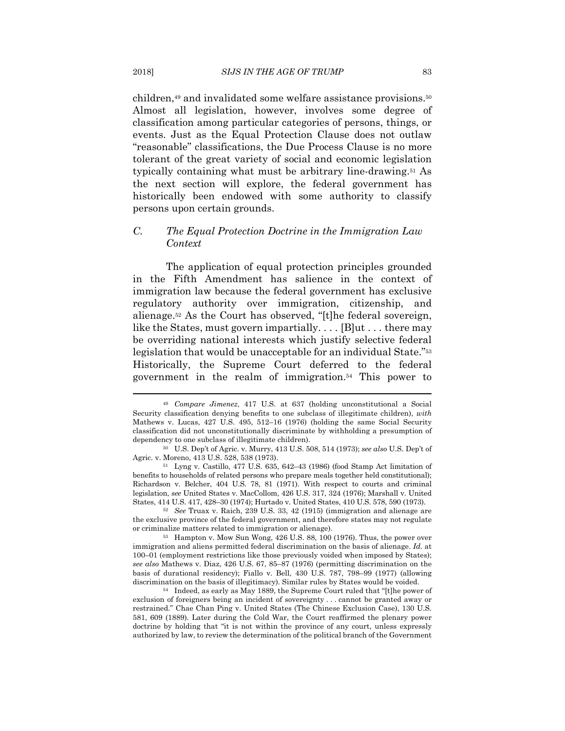children,49 and invalidated some welfare assistance provisions.50 Almost all legislation, however, involves some degree of classification among particular categories of persons, things, or events. Just as the Equal Protection Clause does not outlaw "reasonable" classifications, the Due Process Clause is no more tolerant of the great variety of social and economic legislation typically containing what must be arbitrary line-drawing.51 As the next section will explore, the federal government has historically been endowed with some authority to classify persons upon certain grounds.

#### *C. The Equal Protection Doctrine in the Immigration Law Context*

The application of equal protection principles grounded in the Fifth Amendment has salience in the context of immigration law because the federal government has exclusive regulatory authority over immigration, citizenship, and alienage.52 As the Court has observed, "[t]he federal sovereign, like the States, must govern impartially. . . . [B]ut . . . there may be overriding national interests which justify selective federal legislation that would be unacceptable for an individual State."53 Historically, the Supreme Court deferred to the federal government in the realm of immigration.54 This power to

the exclusive province of the federal government, and therefore states may not regulate or criminalize matters related to immigration or alienage).<br><sup>53</sup> Hampton v. Mow Sun Wong, 426 U.S. 88, 100 (1976). Thus, the power over

immigration and aliens permitted federal discrimination on the basis of alienage. *Id.* at 100–01 (employment restrictions like those previously voided when imposed by States); *see also* Mathews v. Diaz, 426 U.S. 67, 85–87 (1976) (permitting discrimination on the basis of durational residency); Fiallo v. Bell, 430 U.S. 787, 798–99 (1977) (allowing discrimination on the basis of illegitimacy). Similar rules by States would be voided. 54 Indeed, as early as May 1889, the Supreme Court ruled that "[t]he power of

exclusion of foreigners being an incident of sovereignty . . . cannot be granted away or restrained." Chae Chan Ping v. United States (The Chinese Exclusion Case), 130 U.S. 581, 609 (1889). Later during the Cold War, the Court reaffirmed the plenary power doctrine by holding that "it is not within the province of any court, unless expressly authorized by law, to review the determination of the political branch of the Government

<sup>49</sup> *Compare Jimenez*, 417 U.S. at 637 (holding unconstitutional a Social Security classification denying benefits to one subclass of illegitimate children), *with* Mathews v. Lucas, 427 U.S. 495, 512–16 (1976) (holding the same Social Security classification did not unconstitutionally discriminate by withholding a presumption of dependency to one subclass of illegitimate children).<br><sup>50</sup> U.S. Dep't of Agric. v. Murry, 413 U.S. 508, 514 (1973); *see also* U.S. Dep't of

Agric. v. Moreno, 413 U.S. 528, 538 (1973). 51 Lyng v. Castillo, 477 U.S. 635, 642–43 (1986) (food Stamp Act limitation of

benefits to households of related persons who prepare meals together held constitutional); Richardson v. Belcher, 404 U.S. 78, 81 (1971). With respect to courts and criminal legislation, *see* United States v. MacCollom, 426 U.S. 317, 324 (1976); Marshall v. United States, 414 U.S. 417, 428–30 (1974); Hurtado v. United States, 410 U.S. 578, 590 (1973). 52 *See* Truax v. Raich, 239 U.S. 33, 42 (1915) (immigration and alienage are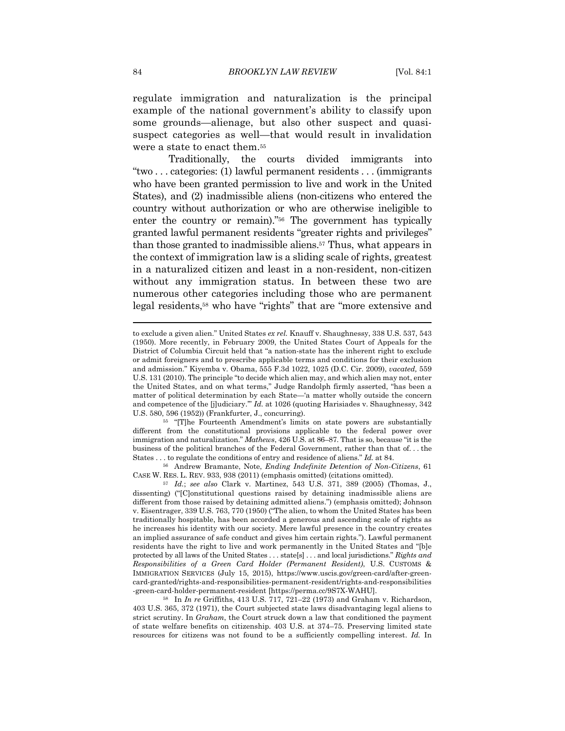regulate immigration and naturalization is the principal example of the national government's ability to classify upon some grounds—alienage, but also other suspect and quasisuspect categories as well—that would result in invalidation were a state to enact them.55

 Traditionally, the courts divided immigrants into "two . . . categories: (1) lawful permanent residents . . . (immigrants who have been granted permission to live and work in the United States), and (2) inadmissible aliens (non-citizens who entered the country without authorization or who are otherwise ineligible to enter the country or remain)."56 The government has typically granted lawful permanent residents "greater rights and privileges" than those granted to inadmissible aliens.57 Thus, what appears in the context of immigration law is a sliding scale of rights, greatest in a naturalized citizen and least in a non-resident, non-citizen without any immigration status. In between these two are numerous other categories including those who are permanent legal residents,58 who have "rights" that are "more extensive and

different from the constitutional provisions applicable to the federal power over immigration and naturalization." *Mathews*, 426 U.S. at 86–87. That is so, because "it is the business of the political branches of the Federal Government, rather than that of. . . the States . . . to regulate the conditions of entry and residence of aliens." *Id.* at 84. 56 Andrew Bramante, Note, *Ending Indefinite Detention of Non-Citizens*, 61

CASE W. RES. L. REV. 933, 938 (2011) (emphasis omitted) (citations omitted). 57 *Id.*; *see also* Clark v. Martinez, 543 U.S. 371, 389 (2005) (Thomas, J.,

to exclude a given alien." United States *ex rel.* Knauff v. Shaughnessy, 338 U.S. 537, 543 (1950). More recently, in February 2009, the United States Court of Appeals for the District of Columbia Circuit held that "a nation-state has the inherent right to exclude or admit foreigners and to prescribe applicable terms and conditions for their exclusion and admission." Kiyemba v. Obama, 555 F.3d 1022, 1025 (D.C. Cir. 2009), *vacated,* 559 U.S. 131 (2010). The principle "to decide which alien may, and which alien may not, enter the United States, and on what terms," Judge Randolph firmly asserted, "has been a matter of political determination by each State—'a matter wholly outside the concern and competence of the [j]udiciary.'" *Id.* at 1026 (quoting Harisiades v. Shaughnessy, 342 U.S. 580, 596 (1952)) (Frankfurter, J., concurring).<br><sup>55</sup> "[T]he Fourteenth Amendment's limits on state powers are substantially

dissenting) ("[C]onstitutional questions raised by detaining inadmissible aliens are different from those raised by detaining admitted aliens.") (emphasis omitted); Johnson v. Eisentrager, 339 U.S. 763, 770 (1950) ("The alien, to whom the United States has been traditionally hospitable, has been accorded a generous and ascending scale of rights as he increases his identity with our society. Mere lawful presence in the country creates an implied assurance of safe conduct and gives him certain rights."). Lawful permanent residents have the right to live and work permanently in the United States and "[b]e protected by all laws of the United States . . . state[s] . . . and local jurisdictions." *Rights and Responsibilities of a Green Card Holder (Permanent Resident)*, U.S. CUSTOMS & IMMIGRATION SERVICES (July 15, 2015), https://www.uscis.gov/green-card/after-greencard-granted/rights-and-responsibilities-permanent-resident/rights-and-responsibilities -green-card-holder-permanent-resident [https://perma.cc/9S7X-WAHU]. 58 In *In re* Griffiths, 413 U.S. 717, 721–22 (1973) and Graham v. Richardson,

<sup>403</sup> U.S. 365, 372 (1971), the Court subjected state laws disadvantaging legal aliens to strict scrutiny. In *Graham*, the Court struck down a law that conditioned the payment of state welfare benefits on citizenship. 403 U.S. at 374–75. Preserving limited state resources for citizens was not found to be a sufficiently compelling interest. *Id.* In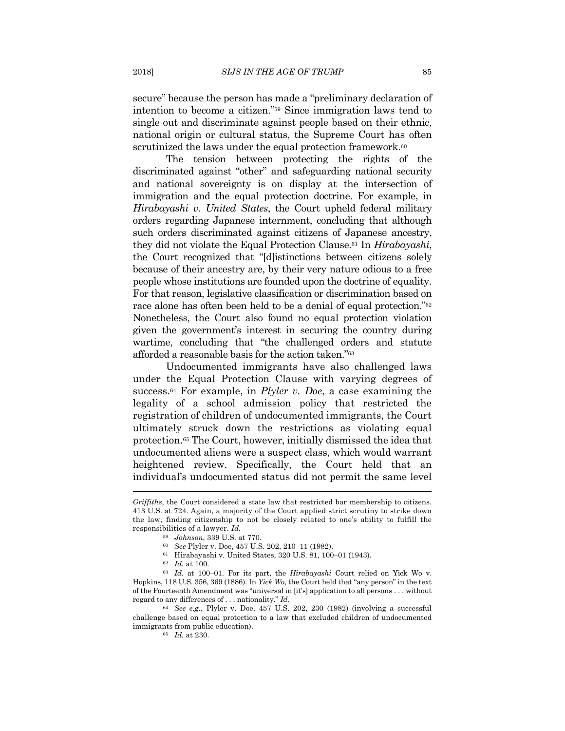secure" because the person has made a "preliminary declaration of intention to become a citizen."59 Since immigration laws tend to single out and discriminate against people based on their ethnic, national origin or cultural status, the Supreme Court has often scrutinized the laws under the equal protection framework.<sup>60</sup>

The tension between protecting the rights of the discriminated against "other" and safeguarding national security and national sovereignty is on display at the intersection of immigration and the equal protection doctrine. For example, in *Hirabayashi v. United States*, the Court upheld federal military orders regarding Japanese internment, concluding that although such orders discriminated against citizens of Japanese ancestry, they did not violate the Equal Protection Clause.61 In *Hirabayashi*, the Court recognized that "[d]istinctions between citizens solely because of their ancestry are, by their very nature odious to a free people whose institutions are founded upon the doctrine of equality. For that reason, legislative classification or discrimination based on race alone has often been held to be a denial of equal protection."62 Nonetheless, the Court also found no equal protection violation given the government's interest in securing the country during wartime, concluding that "the challenged orders and statute afforded a reasonable basis for the action taken."63

Undocumented immigrants have also challenged laws under the Equal Protection Clause with varying degrees of success.64 For example, in *Plyler v. Doe*, a case examining the legality of a school admission policy that restricted the registration of children of undocumented immigrants, the Court ultimately struck down the restrictions as violating equal protection.65 The Court, however, initially dismissed the idea that undocumented aliens were a suspect class, which would warrant heightened review. Specifically, the Court held that an individual's undocumented status did not permit the same level

*Griffiths*, the Court considered a state law that restricted bar membership to citizens. 413 U.S. at 724. Again, a majority of the Court applied strict scrutiny to strike down the law, finding citizenship to not be closely related to one's ability to fulfill the responsibilities of a lawyer. *Id.*

<sup>59</sup> *Johnson*, 339 U.S. at 770. 60 *See* Plyler v. Doe, 457 U.S. 202, 210–11 (1982). 61 Hirabayashi v. United States, 320 U.S. 81, 100–01 (1943).

<sup>62</sup> *Id.* at 100. 63 *Id.* at 100–01. For its part, the *Hirabayashi* Court relied on Yick Wo v. Hopkins, 118 U.S. 356, 369 (1886). In *Yick Wo*, the Court held that "any person" in the text of the Fourteenth Amendment was "universal in [it's] application to all persons . . . without regard to any differences of . . . nationality." *Id.*

<sup>64</sup> *See e.g.*, Plyler v. Doe, 457 U.S. 202, 230 (1982) (involving a successful challenge based on equal protection to a law that excluded children of undocumented immigrants from public education). 65 *Id.* at 230.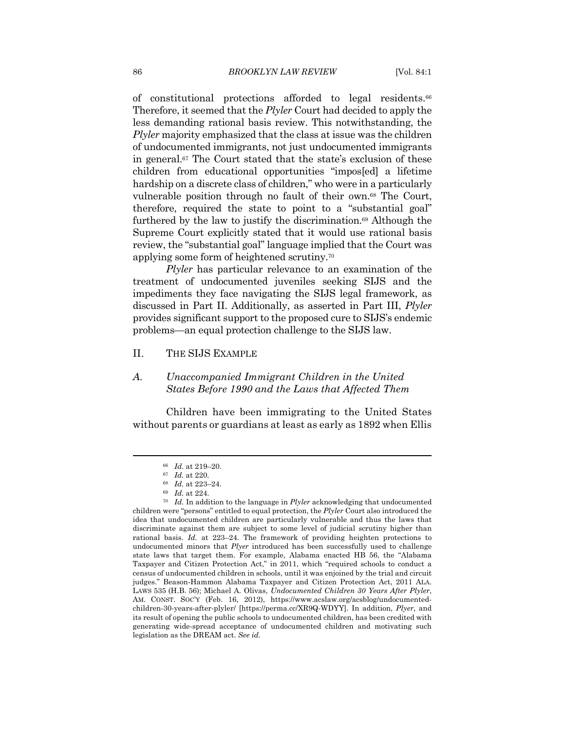of constitutional protections afforded to legal residents.66 Therefore, it seemed that the *Plyler* Court had decided to apply the less demanding rational basis review. This notwithstanding, the *Plyler* majority emphasized that the class at issue was the children of undocumented immigrants, not just undocumented immigrants in general.67 The Court stated that the state's exclusion of these children from educational opportunities "impos[ed] a lifetime hardship on a discrete class of children," who were in a particularly vulnerable position through no fault of their own.68 The Court, therefore, required the state to point to a "substantial goal" furthered by the law to justify the discrimination.69 Although the Supreme Court explicitly stated that it would use rational basis review, the "substantial goal" language implied that the Court was applying some form of heightened scrutiny.70

*Plyler* has particular relevance to an examination of the treatment of undocumented juveniles seeking SIJS and the impediments they face navigating the SIJS legal framework, as discussed in Part II. Additionally, as asserted in Part III, *Plyler* provides significant support to the proposed cure to SIJS's endemic problems—an equal protection challenge to the SIJS law.

#### II. THE SIJS EXAMPLE

#### *A. Unaccompanied Immigrant Children in the United States Before 1990 and the Laws that Affected Them*

Children have been immigrating to the United States without parents or guardians at least as early as 1892 when Ellis

<sup>66</sup> *Id.* at 219–20. 67 *Id.* at 220. 68 *Id.* at 223–24. 69 *Id.* at 224. 70 *Id.* In addition to the language in *Plyler* acknowledging that undocumented children were "persons" entitled to equal protection, the *Plyler* Court also introduced the idea that undocumented children are particularly vulnerable and thus the laws that discriminate against them are subject to some level of judicial scrutiny higher than rational basis. *Id.* at 223–24. The framework of providing heighten protections to undocumented minors that *Plyer* introduced has been successfully used to challenge state laws that target them. For example, Alabama enacted HB 56, the "Alabama Taxpayer and Citizen Protection Act," in 2011, which "required schools to conduct a census of undocumented children in schools, until it was enjoined by the trial and circuit judges." Beason-Hammon Alabama Taxpayer and Citizen Protection Act, 2011 ALA. LAWS 535 (H.B. 56); Michael A. Olivas, *Undocumented Children 30 Years After Plyler*, AM. CONST. SOC'Y (Feb. 16, 2012), https://www.acslaw.org/acsblog/undocumentedchildren-30-years-after-plyler/ [https://perma.cc/XR9Q-WDYY]. In addition, *Plyer*, and its result of opening the public schools to undocumented children, has been credited with generating wide-spread acceptance of undocumented children and motivating such legislation as the DREAM act. *See id.*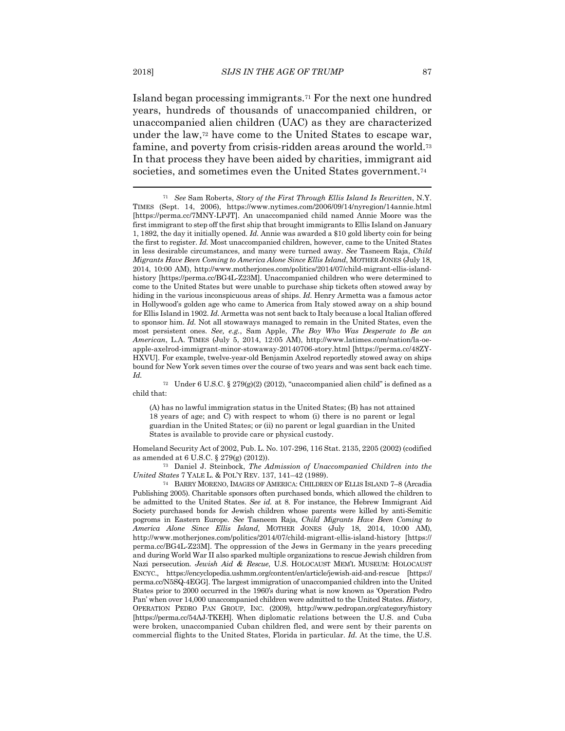Island began processing immigrants.71 For the next one hundred years, hundreds of thousands of unaccompanied children, or unaccompanied alien children (UAC) as they are characterized under the law,72 have come to the United States to escape war, famine, and poverty from crisis-ridden areas around the world.73 In that process they have been aided by charities, immigrant aid societies, and sometimes even the United States government.<sup>74</sup>

72 Under 6 U.S.C. § 279(g)(2) (2012), "unaccompanied alien child" is defined as a child that:

(A) has no lawful immigration status in the United States; (B) has not attained 18 years of age; and C) with respect to whom (i) there is no parent or legal guardian in the United States; or (ii) no parent or legal guardian in the United States is available to provide care or physical custody.

Homeland Security Act of 2002, Pub. L. No. 107-296, 116 Stat. 2135, 2205 (2002) (codified as amended at 6 U.S.C. § 279(g) (2012)). 73 Daniel J. Steinbock, *The Admission of Unaccompanied Children into the* 

*United States* 7 YALE L. & POL'Y REV. 137, 141–42 (1989).<br><sup>74</sup> BARRY MORENO, IMAGES OF AMERICA: CHILDREN OF ELLIS ISLAND 7–8 (Arcadia

Publishing 2005). Charitable sponsors often purchased bonds, which allowed the children to be admitted to the United States. *See id.* at 8. For instance, the Hebrew Immigrant Aid Society purchased bonds for Jewish children whose parents were killed by anti-Semitic pogroms in Eastern Europe. *See* Tasneem Raja, *Child Migrants Have Been Coming to America Alone Since Ellis Island*, MOTHER JONES (July 18, 2014, 10:00 AM), http://www.motherjones.com/politics/2014/07/child-migrant-ellis-island-history [https:// perma.cc/BG4L-Z23M]. The oppression of the Jews in Germany in the years preceding and during World War II also sparked multiple organizations to rescue Jewish children from Nazi persecution. *Jewish Aid & Rescue*, U.S. HOLOCAUST MEM'L MUSEUM: HOLOCAUST ENCYC., https://encyclopedia.ushmm.org/content/en/article/jewish-aid-and-rescue [https:// perma.cc/N5SQ-4EGG]. The largest immigration of unaccompanied children into the United States prior to 2000 occurred in the 1960's during what is now known as 'Operation Pedro Pan' when over 14,000 unaccompanied children were admitted to the United States. *History*, OPERATION PEDRO PAN GROUP, INC. (2009), http://www.pedropan.org/category/history [https://perma.cc/54AJ-TKEH]. When diplomatic relations between the U.S. and Cuba were broken, unaccompanied Cuban children fled, and were sent by their parents on commercial flights to the United States, Florida in particular. *Id.* At the time, the U.S.

<sup>71</sup> *See* Sam Roberts, *Story of the First Through Ellis Island Is Rewritten*, N.Y. TIMES (Sept. 14, 2006), https://www.nytimes.com/2006/09/14/nyregion/14annie.html [https://perma.cc/7MNY-LPJT]. An unaccompanied child named Annie Moore was the first immigrant to step off the first ship that brought immigrants to Ellis Island on January 1, 1892, the day it initially opened. *Id.* Annie was awarded a \$10 gold liberty coin for being the first to register. *Id.* Most unaccompanied children, however, came to the United States in less desirable circumstances, and many were turned away. *See* Tasneem Raja, *Child Migrants Have Been Coming to America Alone Since Ellis Island*, MOTHER JONES (July 18, 2014, 10:00 AM), http://www.motherjones.com/politics/2014/07/child-migrant-ellis-islandhistory [https://perma.cc/BG4L-Z23M]. Unaccompanied children who were determined to come to the United States but were unable to purchase ship tickets often stowed away by hiding in the various inconspicuous areas of ships. *Id.* Henry Armetta was a famous actor in Hollywood's golden age who came to America from Italy stowed away on a ship bound for Ellis Island in 1902. *Id.* Armetta was not sent back to Italy because a local Italian offered to sponsor him. *Id.* Not all stowaways managed to remain in the United States, even the most persistent ones. *See, e.g.*, Sam Apple, *The Boy Who Was Desperate to Be an American*, L.A. TIMES (July 5, 2014, 12:05 AM), http://www.latimes.com/nation/la-oeapple-axelrod-immigrant-minor-stowaway-20140706-story.html [https://perma.cc/48ZY-HXVU]. For example, twelve-year-old Benjamin Axelrod reportedly stowed away on ships bound for New York seven times over the course of two years and was sent back each time. *Id.*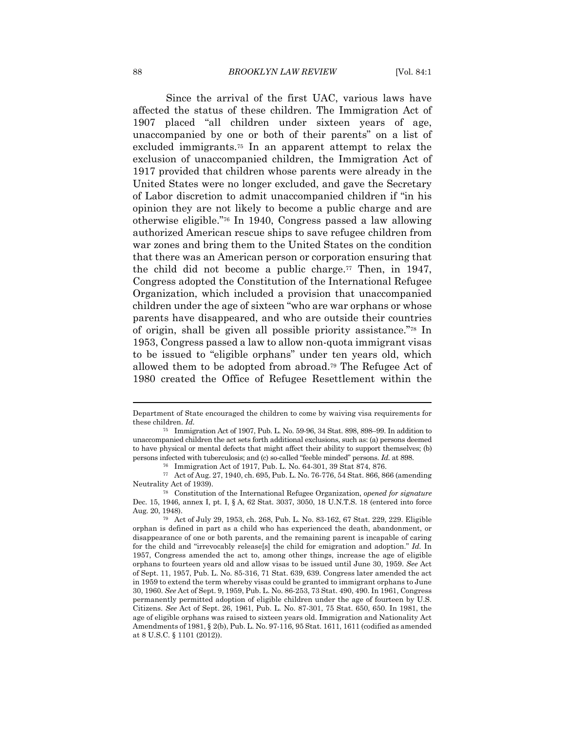Since the arrival of the first UAC, various laws have affected the status of these children. The Immigration Act of 1907 placed "all children under sixteen years of age, unaccompanied by one or both of their parents" on a list of excluded immigrants.75 In an apparent attempt to relax the exclusion of unaccompanied children, the Immigration Act of 1917 provided that children whose parents were already in the United States were no longer excluded, and gave the Secretary of Labor discretion to admit unaccompanied children if "in his opinion they are not likely to become a public charge and are otherwise eligible."76 In 1940, Congress passed a law allowing authorized American rescue ships to save refugee children from war zones and bring them to the United States on the condition that there was an American person or corporation ensuring that the child did not become a public charge.<sup>77</sup> Then, in 1947, Congress adopted the Constitution of the International Refugee Organization, which included a provision that unaccompanied children under the age of sixteen "who are war orphans or whose parents have disappeared, and who are outside their countries of origin, shall be given all possible priority assistance."78 In 1953, Congress passed a law to allow non-quota immigrant visas to be issued to "eligible orphans" under ten years old, which allowed them to be adopted from abroad.79 The Refugee Act of 1980 created the Office of Refugee Resettlement within the

Department of State encouraged the children to come by waiving visa requirements for these children. *Id.*

<sup>75</sup> Immigration Act of 1907, Pub. L. No. 59-96, 34 Stat. 898, 898–99. In addition to unaccompanied children the act sets forth additional exclusions, such as: (a) persons deemed to have physical or mental defects that might affect their ability to support themselves; (b) persons infected with tuberculosis; and (c) so-called "feeble minded" persons. *Id.* at 898. 76 Immigration Act of 1917, Pub. L. No. 64-301, 39 Stat 874, 876.

<sup>77</sup> Act of Aug. 27, 1940, ch. 695, Pub. L. No. 76-776, 54 Stat. 866, 866 (amending Neutrality Act of 1939). 78 Constitution of the International Refugee Organization, *opened for signature* 

Dec. 15, 1946*,* annex I, pt. I, § A, 62 Stat. 3037, 3050, 18 U.N.T.S. 18 (entered into force Aug. 20, 1948).<br><sup>79</sup> Act of July 29, 1953, ch. 268, Pub. L. No. 83-162, 67 Stat. 229, 229. Eligible

orphan is defined in part as a child who has experienced the death, abandonment, or disappearance of one or both parents, and the remaining parent is incapable of caring for the child and "irrevocably release[s] the child for emigration and adoption." *Id.* In 1957, Congress amended the act to, among other things, increase the age of eligible orphans to fourteen years old and allow visas to be issued until June 30, 1959. *See* Act of Sept. 11, 1957, Pub. L. No. 85-316, 71 Stat. 639, 639. Congress later amended the act in 1959 to extend the term whereby visas could be granted to immigrant orphans to June 30, 1960. *See* Act of Sept. 9, 1959, Pub. L. No. 86-253, 73 Stat. 490, 490. In 1961, Congress permanently permitted adoption of eligible children under the age of fourteen by U.S. Citizens. *See* Act of Sept. 26, 1961, Pub. L. No. 87-301, 75 Stat. 650, 650. In 1981, the age of eligible orphans was raised to sixteen years old. Immigration and Nationality Act Amendments of 1981, § 2(b), Pub. L. No. 97-116, 95 Stat. 1611, 1611 (codified as amended at 8 U.S.C. § 1101 (2012)).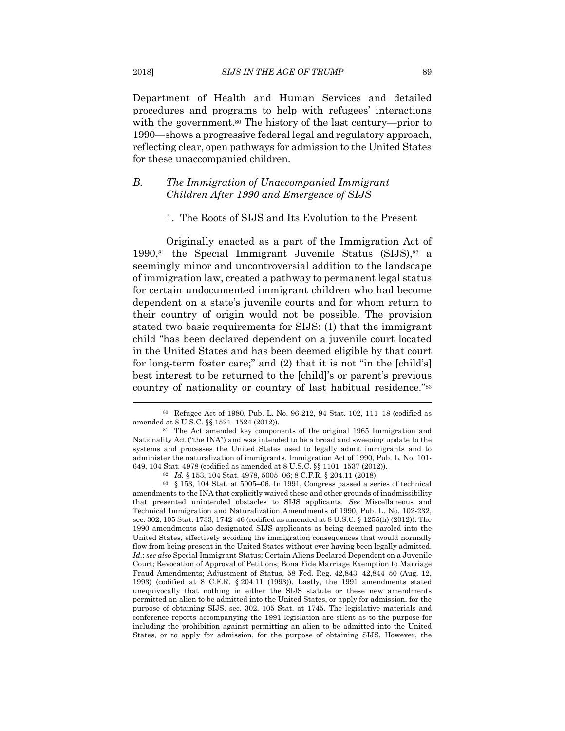Department of Health and Human Services and detailed procedures and programs to help with refugees' interactions with the government.<sup>80</sup> The history of the last century—prior to 1990—shows a progressive federal legal and regulatory approach, reflecting clear, open pathways for admission to the United States for these unaccompanied children.

#### *B. The Immigration of Unaccompanied Immigrant Children After 1990 and Emergence of SIJS*

#### 1. The Roots of SIJS and Its Evolution to the Present

Originally enacted as a part of the Immigration Act of  $1990$ ,<sup>81</sup> the Special Immigrant Juvenile Status (SIJS),<sup>82</sup> a seemingly minor and uncontroversial addition to the landscape of immigration law, created a pathway to permanent legal status for certain undocumented immigrant children who had become dependent on a state's juvenile courts and for whom return to their country of origin would not be possible. The provision stated two basic requirements for SIJS: (1) that the immigrant child "has been declared dependent on a juvenile court located in the United States and has been deemed eligible by that court for long-term foster care;" and (2) that it is not "in the [child's] best interest to be returned to the [child]'s or parent's previous country of nationality or country of last habitual residence."83

<sup>80</sup> Refugee Act of 1980, Pub. L. No. 96-212, 94 Stat. 102, 111–18 (codified as amended at 8 U.S.C. §§ 1521–1524 (2012)). 81 The Act amended key components of the original 1965 Immigration and

Nationality Act ("the INA") and was intended to be a broad and sweeping update to the systems and processes the United States used to legally admit immigrants and to administer the naturalization of immigrants. Immigration Act of 1990, Pub. L. No. 101-

<sup>649, 104</sup> Stat. 4978 (codified as amended at 8 U.S.C. §§ 1101–1537 (2012)).<br><sup>82</sup> *Id.* § 153, 104 Stat. 4978, 5005–06; 8 C.F.R. § 204.11 (2018).<br><sup>83</sup> § 153, 104 Stat. at 5005–06. In 1991, Congress passed a series of techni amendments to the INA that explicitly waived these and other grounds of inadmissibility that presented unintended obstacles to SIJS applicants. *See* Miscellaneous and Technical Immigration and Naturalization Amendments of 1990, Pub. L. No. 102-232, sec. 302, 105 Stat. 1733, 1742–46 (codified as amended at 8 U.S.C. § 1255(h) (2012)). The 1990 amendments also designated SIJS applicants as being deemed paroled into the United States, effectively avoiding the immigration consequences that would normally flow from being present in the United States without ever having been legally admitted. *Id.*; *see also* Special Immigrant Status; Certain Aliens Declared Dependent on a Juvenile Court; Revocation of Approval of Petitions; Bona Fide Marriage Exemption to Marriage Fraud Amendments; Adjustment of Status, 58 Fed. Reg. 42,843, 42,844–50 (Aug. 12, 1993) (codified at 8 C.F.R. § 204.11 (1993)). Lastly, the 1991 amendments stated unequivocally that nothing in either the SIJS statute or these new amendments permitted an alien to be admitted into the United States, or apply for admission, for the purpose of obtaining SIJS. sec. 302, 105 Stat. at 1745. The legislative materials and conference reports accompanying the 1991 legislation are silent as to the purpose for including the prohibition against permitting an alien to be admitted into the United States, or to apply for admission, for the purpose of obtaining SIJS. However, the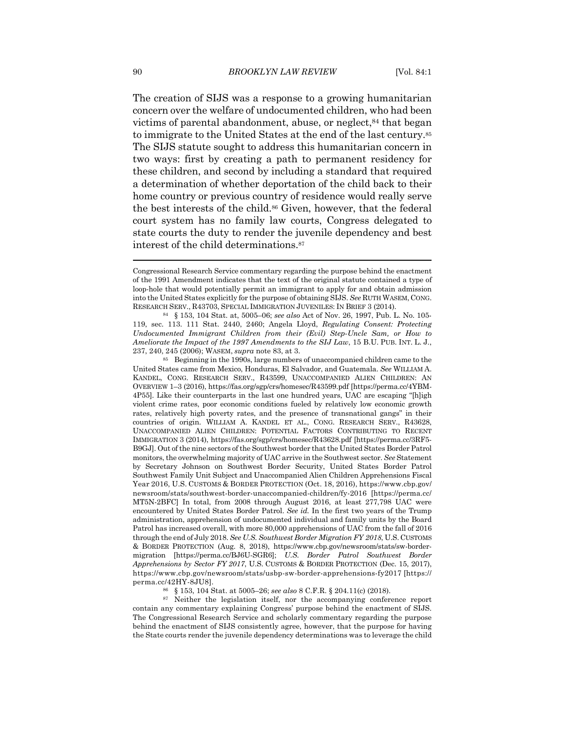The creation of SIJS was a response to a growing humanitarian concern over the welfare of undocumented children, who had been victims of parental abandonment, abuse, or neglect, <sup>84</sup> that began to immigrate to the United States at the end of the last century.85 The SIJS statute sought to address this humanitarian concern in two ways: first by creating a path to permanent residency for these children, and second by including a standard that required a determination of whether deportation of the child back to their home country or previous country of residence would really serve the best interests of the child.86 Given, however, that the federal court system has no family law courts, Congress delegated to state courts the duty to render the juvenile dependency and best interest of the child determinations.<sup>87</sup>

United States came from Mexico, Honduras, El Salvador, and Guatemala. *See* WILLIAM A. KANDEL, CONG. RESEARCH SERV., R43599, UNACCOMPANIED ALIEN CHILDREN: AN OVERVIEW 1–3 (2016), https://fas.org/sgp/crs/homesec/R43599.pdf [https://perma.cc/4YBM-4P55]. Like their counterparts in the last one hundred years, UAC are escaping "[h]igh violent crime rates, poor economic conditions fueled by relatively low economic growth rates, relatively high poverty rates, and the presence of transnational gangs" in their countries of origin. WILLIAM A. KANDEL ET AL., CONG. RESEARCH SERV., R43628, UNACCOMPANIED ALIEN CHILDREN: POTENTIAL FACTORS CONTRIBUTING TO RECENT IMMIGRATION 3 (2014), https://fas.org/sgp/crs/homesec/R43628.pdf [https://perma.cc/3RF5- B9GJ]. Out of the nine sectors of the Southwest border that the United States Border Patrol monitors, the overwhelming majority of UAC arrive in the Southwest sector. *See* Statement by Secretary Johnson on Southwest Border Security, United States Border Patrol Southwest Family Unit Subject and Unaccompanied Alien Children Apprehensions Fiscal Year 2016, U.S. CUSTOMS & BORDER PROTECTION (Oct. 18, 2016), https://www.cbp.gov/ newsroom/stats/southwest-border-unaccompanied-children/fy-2016 [https://perma.cc/ MT5N-2BFC] In total, from 2008 through August 2016, at least 277,798 UAC were encountered by United States Border Patrol. *See id.* In the first two years of the Trump administration, apprehension of undocumented individual and family units by the Board Patrol has increased overall, with more 80,000 apprehensions of UAC from the fall of 2016 through the end of July 2018. *See U.S. Southwest Border Migration FY 2018*, U.S. CUSTOMS & BORDER PROTECTION (Aug. 8, 2018), https://www.cbp.gov/newsroom/stats/sw-bordermigration [https://perma.cc/BJ6U-SGR6]; *U.S. Border Patrol Southwest Border Apprehensions by Sector FY 2017*, U.S. CUSTOMS & BORDER PROTECTION (Dec. 15, 2017), https://www.cbp.gov/newsroom/stats/usbp-sw-border-apprehensions-fy2017 [https://

perma.cc/42HY-8JU8]. 86 § 153, 104 Stat. at 5005–26; *see also* 8 C.F.R. § 204.11(c) (2018). 87 Neither the legislation itself, nor the accompanying conference report contain any commentary explaining Congress' purpose behind the enactment of SIJS. The Congressional Research Service and scholarly commentary regarding the purpose behind the enactment of SIJS consistently agree, however, that the purpose for having the State courts render the juvenile dependency determinations was to leverage the child

Congressional Research Service commentary regarding the purpose behind the enactment of the 1991 Amendment indicates that the text of the original statute contained a type of loop-hole that would potentially permit an immigrant to apply for and obtain admission into the United States explicitly for the purpose of obtaining SIJS. *See* RUTH WASEM, CONG. RESEARCH SERV., R43703, SPECIAL IMMIGRATION JUVENILES: IN BRIEF 3 (2014). 84 § 153, 104 Stat. at, 5005–06; *see also* Act of Nov. 26, 1997, Pub. L. No. 105-

<sup>119,</sup> sec. 113. 111 Stat. 2440, 2460; Angela Lloyd, *Regulating Consent: Protecting Undocumented Immigrant Children from their (Evil) Step-Uncle Sam, or How to Ameliorate the Impact of the 1997 Amendments to the SIJ Law*, 15 B.U. PUB. INT. L. J., 237, 240, 245 (2006); WASEM, *supra* note 83, at 3. 85 Beginning in the 1990s, large numbers of unaccompanied children came to the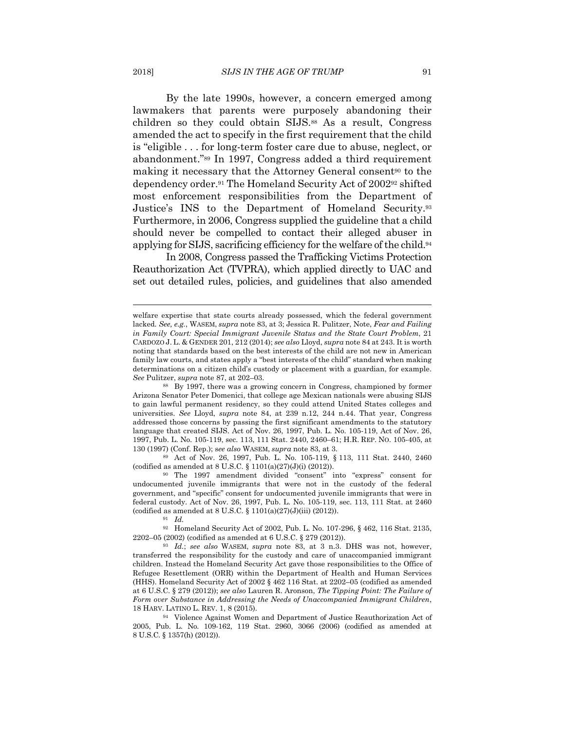By the late 1990s, however, a concern emerged among lawmakers that parents were purposely abandoning their children so they could obtain SIJS.88 As a result, Congress amended the act to specify in the first requirement that the child is "eligible . . . for long-term foster care due to abuse, neglect, or abandonment."89 In 1997, Congress added a third requirement making it necessary that the Attorney General consent<sup>90</sup> to the dependency order.91 The Homeland Security Act of 200292 shifted most enforcement responsibilities from the Department of Justice's INS to the Department of Homeland Security.93 Furthermore, in 2006, Congress supplied the guideline that a child should never be compelled to contact their alleged abuser in applying for SIJS, sacrificing efficiency for the welfare of the child.94

In 2008, Congress passed the Trafficking Victims Protection Reauthorization Act (TVPRA), which applied directly to UAC and set out detailed rules, policies, and guidelines that also amended

(codified as amended at 8 U.S.C. § 1101(a)(27)(J)(i) (2012)).<br><sup>90</sup> The 1997 amendment divided "consent" into "express" consent for

undocumented juvenile immigrants that were not in the custody of the federal government, and "specific" consent for undocumented juvenile immigrants that were in federal custody. Act of Nov. 26, 1997, Pub. L. No. 105-119, sec. 113, 111 Stat. at 2460 (codified as amended at 8 U.S.C. § 1101(a)(27)(J)(iii) (2012)).  $Id$ .

92 Homeland Security Act of 2002, Pub. L. No. 107-296, § 462, 116 Stat. 2135, 2202–05 (2002) (codified as amended at 6 U.S.C. § 279 (2012)). 93 *Id.*; *see also* WASEM, *supra* note 83, at 3 n.3. DHS was not, however,

transferred the responsibility for the custody and care of unaccompanied immigrant children. Instead the Homeland Security Act gave those responsibilities to the Office of Refugee Resettlement (ORR) within the Department of Health and Human Services (HHS). Homeland Security Act of 2002 § 462 116 Stat. at 2202–05 (codified as amended at 6 U.S.C. § 279 (2012)); *see also* Lauren R. Aronson, *The Tipping Point: The Failure of Form over Substance in Addressing the Needs of Unaccompanied Immigrant Children*, 18 HARV. LATINO L. REV. 1, 8 (2015). 94 Violence Against Women and Department of Justice Reauthorization Act of

2005, Pub. L. No. 109-162, 119 Stat. 2960, 3066 (2006) (codified as amended at 8 U.S.C. § 1357(h) (2012)).

welfare expertise that state courts already possessed, which the federal government lacked*. See, e.g.*, WASEM, *supra* note 83, at 3; Jessica R. Pulitzer, Note, *Fear and Failing in Family Court: Special Immigrant Juvenile Status and the State Court Problem*, 21 CARDOZO J. L. & GENDER 201, 212 (2014); *see also* Lloyd, *supra* note 84 at 243. It is worth noting that standards based on the best interests of the child are not new in American family law courts, and states apply a "best interests of the child" standard when making determinations on a citizen child's custody or placement with a guardian, for example.

*See* Pulitzer, *supra* note 87, at 202–03.<br><sup>88</sup> By 1997, there was a growing concern in Congress, championed by former Arizona Senator Peter Domenici, that college age Mexican nationals were abusing SIJS to gain lawful permanent residency, so they could attend United States colleges and universities. *See* Lloyd, *supra* note 84, at 239 n.12, 244 n.44. That year, Congress addressed those concerns by passing the first significant amendments to the statutory language that created SIJS. Act of Nov. 26, 1997, Pub. L. No. 105-119, Act of Nov. 26, 1997, Pub. L. No. 105-119, sec. 113, 111 Stat. 2440, 2460–61; H.R. REP. NO. 105-405, at 130 (1997) (Conf. Rep.); s*ee also* WASEM, *supra* note 83, at 3. 89 Act of Nov. 26, 1997, Pub. L. No. 105-119, § 113, 111 Stat. 2440, 2460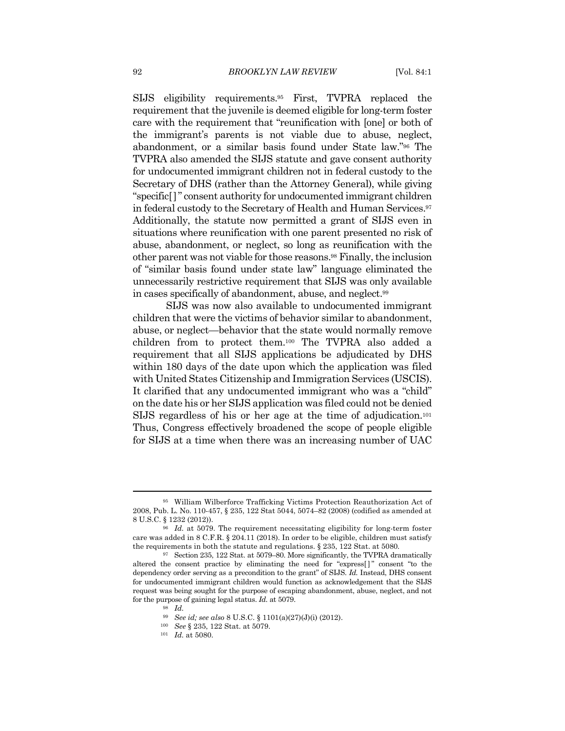SIJS eligibility requirements.95 First, TVPRA replaced the requirement that the juvenile is deemed eligible for long-term foster care with the requirement that "reunification with [one] or both of the immigrant's parents is not viable due to abuse, neglect, abandonment, or a similar basis found under State law."96 The TVPRA also amended the SIJS statute and gave consent authority for undocumented immigrant children not in federal custody to the Secretary of DHS (rather than the Attorney General), while giving "specific[]" consent authority for undocumented immigrant children in federal custody to the Secretary of Health and Human Services.97 Additionally, the statute now permitted a grant of SIJS even in situations where reunification with one parent presented no risk of abuse, abandonment, or neglect, so long as reunification with the other parent was not viable for those reasons.98 Finally, the inclusion of "similar basis found under state law" language eliminated the unnecessarily restrictive requirement that SIJS was only available in cases specifically of abandonment, abuse, and neglect.99

SIJS was now also available to undocumented immigrant children that were the victims of behavior similar to abandonment, abuse, or neglect—behavior that the state would normally remove children from to protect them.100 The TVPRA also added a requirement that all SIJS applications be adjudicated by DHS within 180 days of the date upon which the application was filed with United States Citizenship and Immigration Services (USCIS). It clarified that any undocumented immigrant who was a "child" on the date his or her SIJS application was filed could not be denied SIJS regardless of his or her age at the time of adjudication.101 Thus, Congress effectively broadened the scope of people eligible for SIJS at a time when there was an increasing number of UAC

<sup>95</sup> William Wilberforce Trafficking Victims Protection Reauthorization Act of 2008, Pub. L. No. 110-457, § 235, 122 Stat 5044, 5074–82 (2008) (codified as amended at

<sup>&</sup>lt;sup>96</sup> Id. at 5079. The requirement necessitating eligibility for long-term foster care was added in 8 C.F.R. § 204.11 (2018). In order to be eligible, children must satisfy the requirements in both the statute and regulations. § 235, 122 Stat. at 5080*.* 

<sup>97</sup> Section 235, 122 Stat. at 5079–80. More significantly, the TVPRA dramatically altered the consent practice by eliminating the need for "express[]" consent "to the dependency order serving as a precondition to the grant" of SIJS. *Id.* Instead, DHS consent for undocumented immigrant children would function as acknowledgement that the SIJS request was being sought for the purpose of escaping abandonment, abuse, neglect, and not for the purpose of gaining legal status. *Id.* at 5079. 98 *Id.*

<sup>99</sup> *See id; see also* 8 U.S.C. § 1101(a)(27)(J)(i) (2012). 100 *See* § 235, 122 Stat. at 5079. 101 *Id.* at 5080.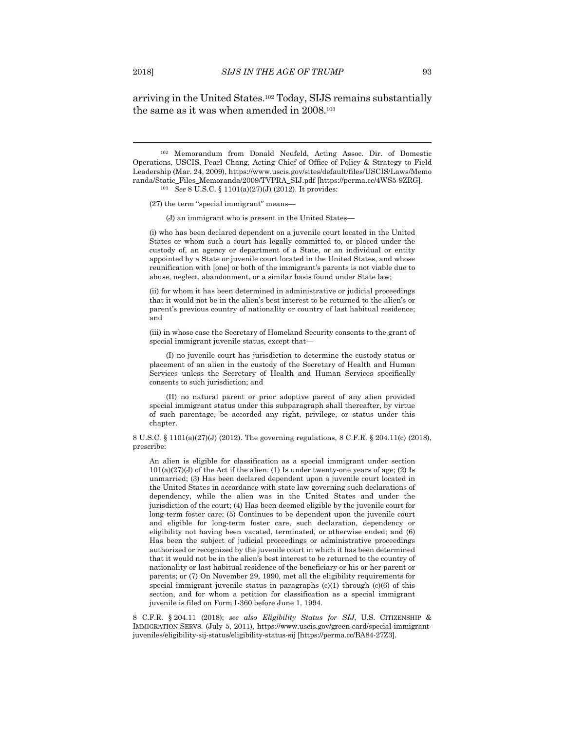arriving in the United States.102 Today, SIJS remains substantially the same as it was when amended in 2008.103

102 Memorandum from Donald Neufeld, Acting Assoc. Dir. of Domestic Operations, USCIS, Pearl Chang, Acting Chief of Office of Policy & Strategy to Field Leadership (Mar. 24, 2009), https://www.uscis.gov/sites/default/files/USCIS/Laws/Memo randa/Static\_Files\_Memoranda/2009/TVPRA\_SIJ.pdf [https://perma.cc/4WS5-9ZRG]. 103 *See* 8 U.S.C. § 1101(a)(27)(J) (2012). It provides:

(27) the term "special immigrant" means—

(J) an immigrant who is present in the United States—

(i) who has been declared dependent on a juvenile court located in the United States or whom such a court has legally committed to, or placed under the custody of, an agency or department of a State, or an individual or entity appointed by a State or juvenile court located in the United States, and whose reunification with [one] or both of the immigrant's parents is not viable due to abuse, neglect, abandonment, or a similar basis found under State law;

(ii) for whom it has been determined in administrative or judicial proceedings that it would not be in the alien's best interest to be returned to the alien's or parent's previous country of nationality or country of last habitual residence; and

(iii) in whose case the Secretary of Homeland Security consents to the grant of special immigrant juvenile status, except that—

 (I) no juvenile court has jurisdiction to determine the custody status or placement of an alien in the custody of the Secretary of Health and Human Services unless the Secretary of Health and Human Services specifically consents to such jurisdiction; and

 (II) no natural parent or prior adoptive parent of any alien provided special immigrant status under this subparagraph shall thereafter, by virtue of such parentage, be accorded any right, privilege, or status under this chapter.

8 U.S.C. § 1101(a)(27)(J) (2012). The governing regulations, 8 C.F.R. § 204.11(c) (2018), prescribe:

An alien is eligible for classification as a special immigrant under section  $101(a)(27)(J)$  of the Act if the alien: (1) Is under twenty-one years of age; (2) Is unmarried; (3) Has been declared dependent upon a juvenile court located in the United States in accordance with state law governing such declarations of dependency, while the alien was in the United States and under the jurisdiction of the court; (4) Has been deemed eligible by the juvenile court for long-term foster care; (5) Continues to be dependent upon the juvenile court and eligible for long-term foster care, such declaration, dependency or eligibility not having been vacated, terminated, or otherwise ended; and (6) Has been the subject of judicial proceedings or administrative proceedings authorized or recognized by the juvenile court in which it has been determined that it would not be in the alien's best interest to be returned to the country of nationality or last habitual residence of the beneficiary or his or her parent or parents; or (7) On November 29, 1990, met all the eligibility requirements for special immigrant juvenile status in paragraphs  $(c)(1)$  through  $(c)(6)$  of this section, and for whom a petition for classification as a special immigrant juvenile is filed on Form I-360 before June 1, 1994.

8 C.F.R. § 204.11 (2018); *see also Eligibility Status for SIJ*, U.S. CITIZENSHIP & IMMIGRATION SERVS. (July 5, 2011), https://www.uscis.gov/green-card/special-immigrantjuveniles/eligibility-sij-status/eligibility-status-sij [https://perma.cc/BA84-27Z3].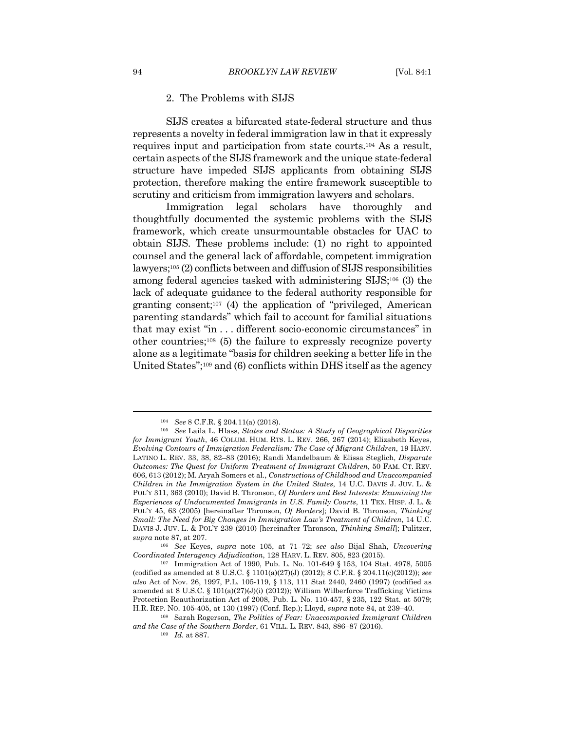#### 2. The Problems with SIJS

SIJS creates a bifurcated state-federal structure and thus represents a novelty in federal immigration law in that it expressly requires input and participation from state courts.104 As a result, certain aspects of the SIJS framework and the unique state-federal structure have impeded SIJS applicants from obtaining SIJS protection, therefore making the entire framework susceptible to scrutiny and criticism from immigration lawyers and scholars.

Immigration legal scholars have thoroughly and thoughtfully documented the systemic problems with the SIJS framework, which create unsurmountable obstacles for UAC to obtain SIJS. These problems include: (1) no right to appointed counsel and the general lack of affordable, competent immigration lawyers;105 (2) conflicts between and diffusion of SIJS responsibilities among federal agencies tasked with administering SIJS;106 (3) the lack of adequate guidance to the federal authority responsible for granting consent;107 (4) the application of "privileged, American parenting standards" which fail to account for familial situations that may exist "in . . . different socio-economic circumstances" in other countries;108 (5) the failure to expressly recognize poverty alone as a legitimate "basis for children seeking a better life in the United States";109 and (6) conflicts within DHS itself as the agency

<sup>104</sup> *See* 8 C.F.R. § 204.11(a) (2018). 105 *See* Laila L. Hlass, *States and Status: A Study of Geographical Disparities for Immigrant Youth*, 46 COLUM. HUM. RTS. L. REV. 266, 267 (2014); Elizabeth Keyes, *Evolving Contours of Immigration Federalism: The Case of Migrant Children*, 19 HARV. LATINO L. REV. 33, 38, 82–83 (2016); Randi Mandelbaum & Elissa Steglich, *Disparate Outcomes: The Quest for Uniform Treatment of Immigrant Children*, 50 FAM. CT. REV. 606, 613 (2012); M. Aryah Somers et al., *Constructions of Childhood and Unaccompanied Children in the Immigration System in the United States*, 14 U.C. DAVIS J. JUV. L. & POL'Y 311, 363 (2010); David B. Thronson, *Of Borders and Best Interests: Examining the Experiences of Undocumented Immigrants in U.S. Family Courts*, 11 TEX. HISP. J. L. & POL'Y 45, 63 (2005) [hereinafter Thronson, *Of Borders*]; David B. Thronson, *Thinking Small: The Need for Big Changes in Immigration Law's Treatment of Children*, 14 U.C. DAVIS J. JUV. L. & POL'Y 239 (2010) [hereinafter Thronson, *Thinking Small*]; Pulitzer, *supra* note 87, at 207. 106 *See* Keyes, *supra* note 105, at 71–72; *see also* Bijal Shah, *Uncovering* 

*Coordinated Interagency Adjudication*, 128 HARV. L. REV. 805, 823 (2015). 107 Immigration Act of 1990, Pub. L. No. 101-649 § 153, 104 Stat. 4978, 5005

<sup>(</sup>codified as amended at 8 U.S.C. § 1101(a)(27)(J) (2012); 8 C.F.R. § 204.11(c)(2012)); *see also* Act of Nov. 26, 1997, P.L. 105-119, § 113, 111 Stat 2440, 2460 (1997) (codified as amended at 8 U.S.C. § 101(a)(27)(J)(i) (2012)); William Wilberforce Trafficking Victims Protection Reauthorization Act of 2008, Pub. L. No. 110-457, § 235, 122 Stat. at 5079; H.R. REP. NO. 105-405, at 130 (1997) (Conf. Rep.); Lloyd, *supra* note 84, at 239–40. 108 Sarah Rogerson, *The Politics of Fear: Unaccompanied Immigrant Children* 

*and the Case of the Southern Border*, 61 VILL. L. REV. 843, 886–87 (2016). 109 *Id.* at 887.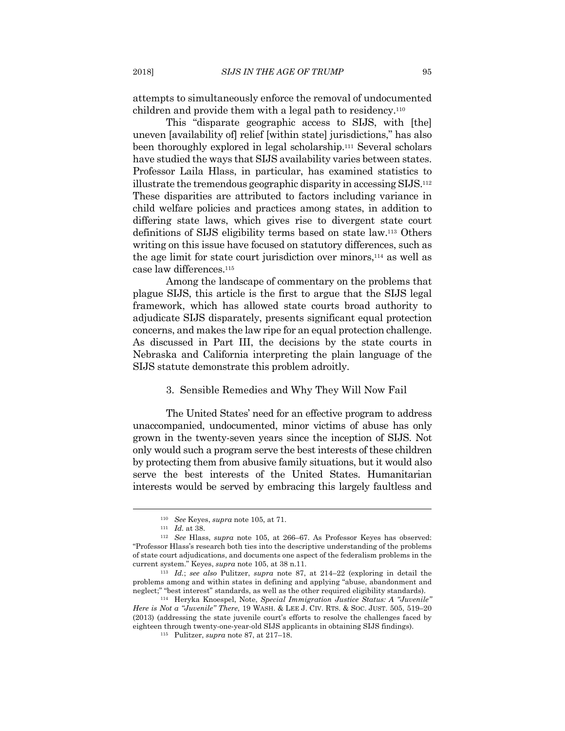attempts to simultaneously enforce the removal of undocumented children and provide them with a legal path to residency.110

This "disparate geographic access to SIJS, with [the] uneven [availability of] relief [within state] jurisdictions," has also been thoroughly explored in legal scholarship.111 Several scholars have studied the ways that SIJS availability varies between states. Professor Laila Hlass, in particular, has examined statistics to illustrate the tremendous geographic disparity in accessing SIJS.112 These disparities are attributed to factors including variance in child welfare policies and practices among states, in addition to differing state laws, which gives rise to divergent state court definitions of SIJS eligibility terms based on state law.113 Others writing on this issue have focused on statutory differences, such as the age limit for state court jurisdiction over minors,114 as well as case law differences.115

Among the landscape of commentary on the problems that plague SIJS, this article is the first to argue that the SIJS legal framework, which has allowed state courts broad authority to adjudicate SIJS disparately, presents significant equal protection concerns, and makes the law ripe for an equal protection challenge. As discussed in Part III, the decisions by the state courts in Nebraska and California interpreting the plain language of the SIJS statute demonstrate this problem adroitly.

#### 3. Sensible Remedies and Why They Will Now Fail

The United States' need for an effective program to address unaccompanied, undocumented, minor victims of abuse has only grown in the twenty-seven years since the inception of SIJS. Not only would such a program serve the best interests of these children by protecting them from abusive family situations, but it would also serve the best interests of the United States. Humanitarian interests would be served by embracing this largely faultless and

<sup>110</sup> *See* Keyes, *supra* note 105, at 71. 111 *Id.* at 38. 112 *See* Hlass, *supra* note 105, at 266–67. As Professor Keyes has observed: "Professor Hlass's research both ties into the descriptive understanding of the problems of state court adjudications, and documents one aspect of the federalism problems in the current system." Keyes, *supra* note 105, at 38 n.11. 113 *Id.*; *see also* Pulitzer, *supra* note 87, at 214–22 (exploring in detail the

problems among and within states in defining and applying "abuse, abandonment and neglect;" "best interest" standards, as well as the other required eligibility standards). 114 Heryka Knoespel, Note, *Special Immigration Justice Status: A "Juvenile"* 

*Here is Not a "Juvenile" There*, 19 WASH. & LEE J. CIV. RTS. & SOC. JUST. 505, 519–20 (2013) (addressing the state juvenile court's efforts to resolve the challenges faced by eighteen through twenty-one-year-old SIJS applicants in obtaining SIJS findings). 115 Pulitzer, *supra* note 87, at 217–18.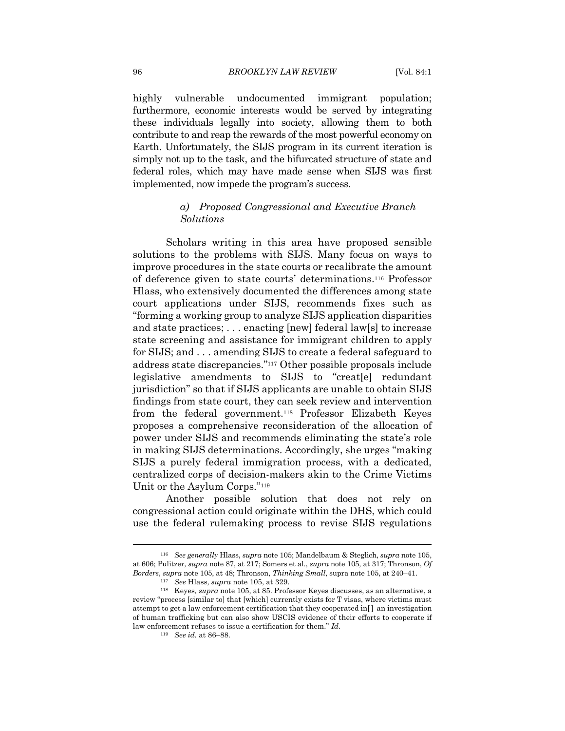highly vulnerable undocumented immigrant population; furthermore, economic interests would be served by integrating these individuals legally into society, allowing them to both contribute to and reap the rewards of the most powerful economy on Earth. Unfortunately, the SIJS program in its current iteration is simply not up to the task, and the bifurcated structure of state and federal roles, which may have made sense when SIJS was first implemented, now impede the program's success.

#### *a) Proposed Congressional and Executive Branch Solutions*

Scholars writing in this area have proposed sensible solutions to the problems with SIJS. Many focus on ways to improve procedures in the state courts or recalibrate the amount of deference given to state courts' determinations.116 Professor Hlass, who extensively documented the differences among state court applications under SIJS, recommends fixes such as "forming a working group to analyze SIJS application disparities and state practices; . . . enacting [new] federal law[s] to increase state screening and assistance for immigrant children to apply for SIJS; and . . . amending SIJS to create a federal safeguard to address state discrepancies."117 Other possible proposals include legislative amendments to SIJS to "creat[e] redundant jurisdiction" so that if SIJS applicants are unable to obtain SIJS findings from state court, they can seek review and intervention from the federal government.118 Professor Elizabeth Keyes proposes a comprehensive reconsideration of the allocation of power under SIJS and recommends eliminating the state's role in making SIJS determinations. Accordingly, she urges "making SIJS a purely federal immigration process, with a dedicated, centralized corps of decision-makers akin to the Crime Victims Unit or the Asylum Corps."119

Another possible solution that does not rely on congressional action could originate within the DHS, which could use the federal rulemaking process to revise SIJS regulations

<sup>116</sup> *See generally* Hlass, *supra* note 105; Mandelbaum & Steglich, *supra* note 105, at 606; Pulitzer, *supra* note 87, at 217; Somers et al., *supra* note 105, at 317; Thronson, *Of* 

<sup>&</sup>lt;sup>117</sup> See Hlass, *supra* note 105, at 329.<br><sup>118</sup> Keyes, *supra* note 105, at 85. Professor Keyes discusses, as an alternative, a review "process [similar to] that [which] currently exists for T visas, where victims must attempt to get a law enforcement certification that they cooperated in[ ] an investigation of human trafficking but can also show USCIS evidence of their efforts to cooperate if law enforcement refuses to issue a certification for them." *Id.*

<sup>119</sup> *See id.* at 86–88.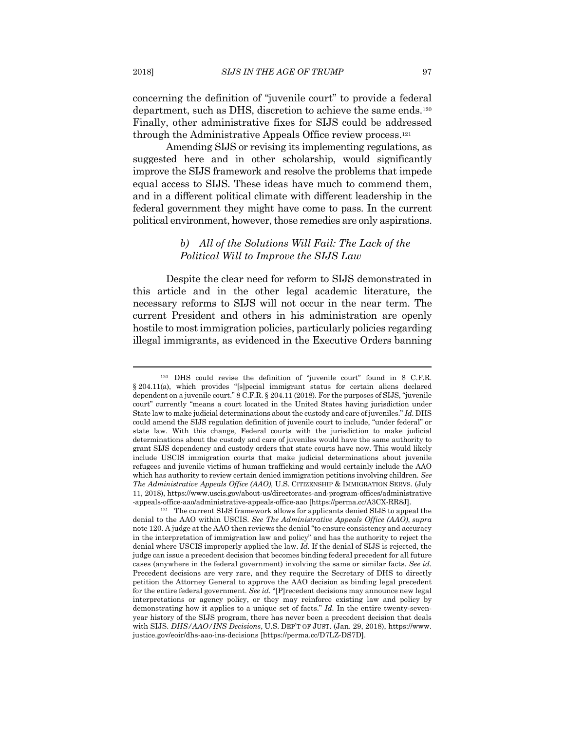concerning the definition of "juvenile court" to provide a federal department, such as DHS, discretion to achieve the same ends.120 Finally, other administrative fixes for SIJS could be addressed through the Administrative Appeals Office review process.121

Amending SIJS or revising its implementing regulations, as suggested here and in other scholarship, would significantly improve the SIJS framework and resolve the problems that impede equal access to SIJS. These ideas have much to commend them, and in a different political climate with different leadership in the federal government they might have come to pass. In the current political environment, however, those remedies are only aspirations.

#### *b) All of the Solutions Will Fail: The Lack of the Political Will to Improve the SIJS Law*

Despite the clear need for reform to SIJS demonstrated in this article and in the other legal academic literature, the necessary reforms to SIJS will not occur in the near term. The current President and others in his administration are openly hostile to most immigration policies, particularly policies regarding illegal immigrants, as evidenced in the Executive Orders banning

<sup>120</sup> DHS could revise the definition of "juvenile court" found in 8 C.F.R. § 204.11(a), which provides "[s]pecial immigrant status for certain aliens declared dependent on a juvenile court." 8 C.F.R. § 204.11 (2018). For the purposes of SIJS, "juvenile court" currently "means a court located in the United States having jurisdiction under State law to make judicial determinations about the custody and care of juveniles." *Id.* DHS could amend the SIJS regulation definition of juvenile court to include, "under federal" or state law. With this change, Federal courts with the jurisdiction to make judicial determinations about the custody and care of juveniles would have the same authority to grant SIJS dependency and custody orders that state courts have now. This would likely include USCIS immigration courts that make judicial determinations about juvenile refugees and juvenile victims of human trafficking and would certainly include the AAO which has authority to review certain denied immigration petitions involving children. *See The Administrative Appeals Office (AAO)*, U.S. CITIZENSHIP & IMMIGRATION SERVS. (July 11, 2018), https://www.uscis.gov/about-us/directorates-and-program-offices/administrative -appeals-office-aao/administrative-appeals-office-aao [https://perma.cc/A3CX-RR8J]. 121 The current SIJS framework allows for applicants denied SIJS to appeal the

denial to the AAO within USCIS. *See The Administrative Appeals Office (AAO)*, *supra* note 120. A judge at the AAO then reviews the denial "to ensure consistency and accuracy in the interpretation of immigration law and policy" and has the authority to reject the denial where USCIS improperly applied the law. *Id.* If the denial of SIJS is rejected, the judge can issue a precedent decision that becomes binding federal precedent for all future cases (anywhere in the federal government) involving the same or similar facts. *See id.* Precedent decisions are very rare, and they require the Secretary of DHS to directly petition the Attorney General to approve the AAO decision as binding legal precedent for the entire federal government. *See id.* "[P]recedent decisions may announce new legal interpretations or agency policy, or they may reinforce existing law and policy by demonstrating how it applies to a unique set of facts." *Id.* In the entire twenty-sevenyear history of the SIJS program, there has never been a precedent decision that deals with SIJS. *DHS/AAO/INS Decisions*, U.S. DEP'T OF JUST. (Jan. 29, 2018), https://www. justice.gov/eoir/dhs-aao-ins-decisions [https://perma.cc/D7LZ-DS7D].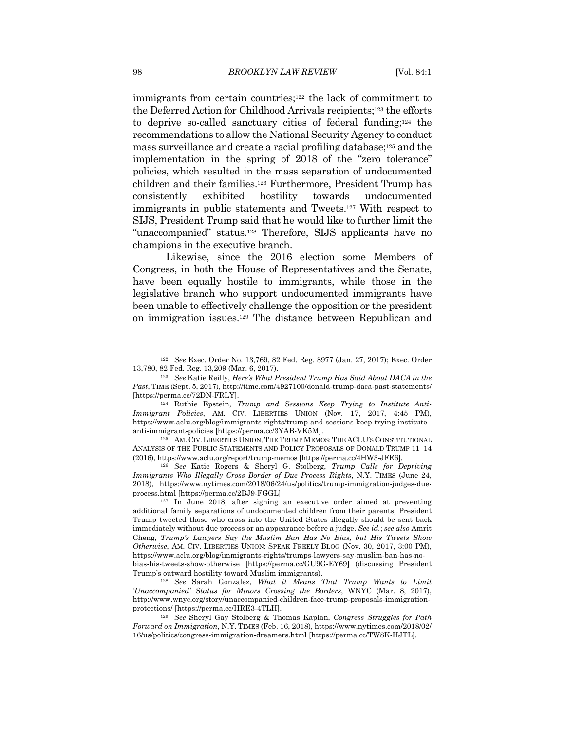immigrants from certain countries;<sup>122</sup> the lack of commitment to the Deferred Action for Childhood Arrivals recipients;123 the efforts to deprive so-called sanctuary cities of federal funding;124 the recommendations to allow the National Security Agency to conduct mass surveillance and create a racial profiling database;125 and the implementation in the spring of 2018 of the "zero tolerance" policies, which resulted in the mass separation of undocumented children and their families.126 Furthermore, President Trump has consistently exhibited hostility towards undocumented immigrants in public statements and Tweets.127 With respect to SIJS, President Trump said that he would like to further limit the "unaccompanied" status.128 Therefore, SIJS applicants have no champions in the executive branch.

Likewise, since the 2016 election some Members of Congress, in both the House of Representatives and the Senate, have been equally hostile to immigrants, while those in the legislative branch who support undocumented immigrants have been unable to effectively challenge the opposition or the president on immigration issues.129 The distance between Republican and

<sup>122</sup> *See* Exec. Order No. 13,769, 82 Fed. Reg. 8977 (Jan. 27, 2017); Exec. Order 13,780, 82 Fed. Reg. 13,209 (Mar. 6, 2017). 123 *See* Katie Reilly, *Here's What President Trump Has Said About DACA in the* 

*Past*, TIME (Sept. 5, 2017), http://time.com/4927100/donald-trump-daca-past-statements/ [https://perma.cc/72DN-FRLY]. 124 Ruthie Epstein, *Trump and Sessions Keep Trying to Institute Anti-*

*Immigrant Policies*, AM. CIV. LIBERTIES UNION (Nov. 17, 2017, 4:45 PM), https://www.aclu.org/blog/immigrants-rights/trump-and-sessions-keep-trying-instituteanti-immigrant-policies [https://perma.cc/3YAB-VK5M]. 125 AM. CIV.LIBERTIES UNION,THE TRUMP MEMOS:THE ACLU'S CONSTITUTIONAL

ANALYSIS OF THE PUBLIC STATEMENTS AND POLICY PROPOSALS OF DONALD TRUMP 11–14 (2016), https://www.aclu.org/report/trump-memos [https://perma.cc/4HW3-JFE6]. 126 *See* Katie Rogers & Sheryl G. Stolberg, *Trump Calls for Depriving* 

*Immigrants Who Illegally Cross Border of Due Process Rights*, N.Y. TIMES (June 24, 2018), https://www.nytimes.com/2018/06/24/us/politics/trump-immigration-judges-due-

 $127$  In June 2018, after signing an executive order aimed at preventing additional family separations of undocumented children from their parents, President Trump tweeted those who cross into the United States illegally should be sent back immediately without due process or an appearance before a judge. *See id.*; *see also* Amrit Cheng, *Trump's Lawyers Say the Muslim Ban Has No Bias, but His Tweets Show Otherwise*, AM. CIV. LIBERTIES UNION: SPEAK FREELY BLOG (Nov. 30, 2017, 3:00 PM), https://www.aclu.org/blog/immigrants-rights/trumps-lawyers-say-muslim-ban-has-nobias-his-tweets-show-otherwise [https://perma.cc/GU9G-EY69] (discussing President

Trump's outward hostility toward Muslim immigrants). 128 *See* Sarah Gonzalez, *What it Means That Trump Wants to Limit 'Unaccompanied' Status for Minors Crossing the Borders*, WNYC (Mar. 8, 2017), http://www.wnyc.org/story/unaccompanied-children-face-trump-proposals-immigrationprotections/ [https://perma.cc/HRE3-4TLH]. 129 *See* Sheryl Gay Stolberg & Thomas Kaplan, *Congress Struggles for Path* 

*Forward on Immigration*, N.Y. TIMES (Feb. 16, 2018), https://www.nytimes.com/2018/02/ 16/us/politics/congress-immigration-dreamers.html [https://perma.cc/TW8K-HJTL].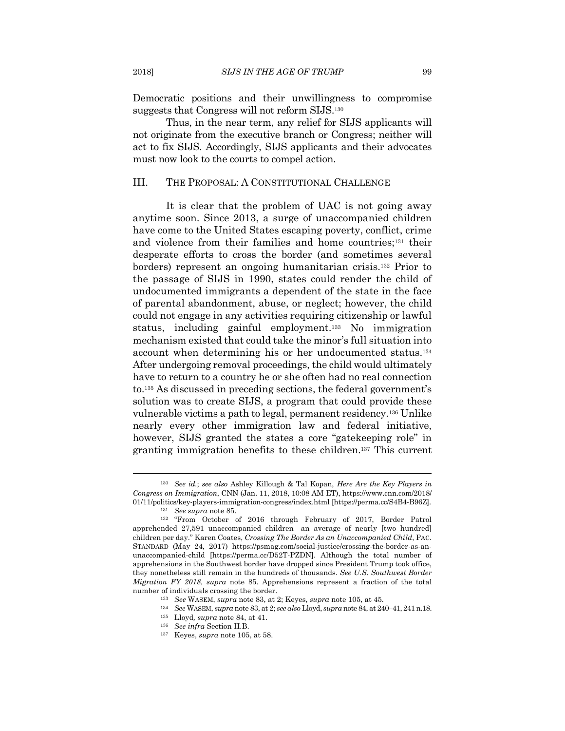Democratic positions and their unwillingness to compromise suggests that Congress will not reform SIJS.130

Thus, in the near term, any relief for SIJS applicants will not originate from the executive branch or Congress; neither will act to fix SIJS. Accordingly, SIJS applicants and their advocates must now look to the courts to compel action.

#### III. THE PROPOSAL: A CONSTITUTIONAL CHALLENGE

It is clear that the problem of UAC is not going away anytime soon. Since 2013, a surge of unaccompanied children have come to the United States escaping poverty, conflict, crime and violence from their families and home countries;131 their desperate efforts to cross the border (and sometimes several borders) represent an ongoing humanitarian crisis.132 Prior to the passage of SIJS in 1990, states could render the child of undocumented immigrants a dependent of the state in the face of parental abandonment, abuse, or neglect; however, the child could not engage in any activities requiring citizenship or lawful status, including gainful employment.133 No immigration mechanism existed that could take the minor's full situation into account when determining his or her undocumented status.134 After undergoing removal proceedings, the child would ultimately have to return to a country he or she often had no real connection to.135 As discussed in preceding sections, the federal government's solution was to create SIJS, a program that could provide these vulnerable victims a path to legal, permanent residency.136 Unlike nearly every other immigration law and federal initiative, however, SIJS granted the states a core "gatekeeping role" in granting immigration benefits to these children.137 This current

number of individuals crossing the border.<br>
<sup>133</sup> See WASEM, *supra* note 83, at 2; Keyes, *supra* note 105, at 45.<br>
<sup>134</sup> See WASEM, *supra* note 83, at 2; *see also* Lloyd, *supra* note 84, at 240–41, 241 n.18.<br>
<sup>135</sup> L

<sup>130</sup> *See id.*; *see also* Ashley Killough & Tal Kopan, *Here Are the Key Players in Congress on Immigration*, CNN (Jan. 11, 2018, 10:08 AM ET), https://www.cnn.com/2018/

<sup>01/11/</sup>politics/key-players-immigration-congress/index.html [https://perma.cc/S4B4-B96Z]. 131 *See supra* note 85. 132 "From October of 2016 through February of 2017, Border Patrol apprehended 27,591 unaccompanied children—an average of nearly [two hundred] children per day." Karen Coates, *Crossing The Border As an Unaccompanied Child*, PAC. STANDARD (May 24, 2017) https://psmag.com/social-justice/crossing-the-border-as-anunaccompanied-child [https://perma.cc/D52T-PZDN]. Although the total number of apprehensions in the Southwest border have dropped since President Trump took office, they nonetheless still remain in the hundreds of thousands. *See U.S. Southwest Border Migration FY 2018, supra* note 85. Apprehensions represent a fraction of the total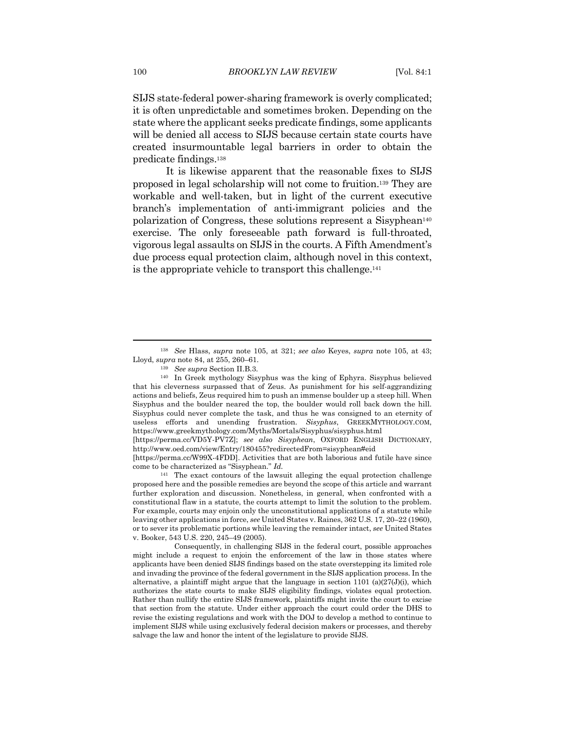SIJS state-federal power-sharing framework is overly complicated; it is often unpredictable and sometimes broken. Depending on the state where the applicant seeks predicate findings, some applicants will be denied all access to SIJS because certain state courts have created insurmountable legal barriers in order to obtain the predicate findings.138

It is likewise apparent that the reasonable fixes to SIJS proposed in legal scholarship will not come to fruition.139 They are workable and well-taken, but in light of the current executive branch's implementation of anti-immigrant policies and the polarization of Congress, these solutions represent a Sisyphean<sup>140</sup> exercise. The only foreseeable path forward is full-throated, vigorous legal assaults on SIJS in the courts. A Fifth Amendment's due process equal protection claim, although novel in this context, is the appropriate vehicle to transport this challenge.141

<sup>138</sup> *See* Hlass, *supra* note 105, at 321; *see also* Keyes, *supra* note 105, at 43; Lloyd, *supra* note 84, at 255, 260–61. 139 *See supra* Section II.B.3. 140 In Greek mythology Sisyphus was the king of Ephyra. Sisyphus believed

that his cleverness surpassed that of Zeus. As punishment for his self-aggrandizing actions and beliefs, Zeus required him to push an immense boulder up a steep hill. When Sisyphus and the boulder neared the top, the boulder would roll back down the hill. Sisyphus could never complete the task, and thus he was consigned to an eternity of useless efforts and unending frustration. *Sisyphus*, GREEKMYTHOLOGY.COM, https://www.greekmythology.com/Myths/Mortals/Sisyphus/sisyphus.html

<sup>[</sup>https://perma.cc/VD5Y-PV7Z]; *see also Sisyphean*, OXFORD ENGLISH DICTIONARY, http://www.oed.com/view/Entry/180455?redirectedFrom=sisyphean#eid

<sup>[</sup>https://perma.cc/W99X-4FDD]. Activities that are both laborious and futile have since come to be characterized as "Sisyphean." *Id.*

<sup>141</sup> The exact contours of the lawsuit alleging the equal protection challenge proposed here and the possible remedies are beyond the scope of this article and warrant further exploration and discussion. Nonetheless, in general, when confronted with a constitutional flaw in a statute, the courts attempt to limit the solution to the problem. For example, courts may enjoin only the unconstitutional applications of a statute while leaving other applications in force, *see* United States v. Raines, 362 U.S. 17, 20–22 (1960), or to sever its problematic portions while leaving the remainder intact, *see* United States v. Booker, 543 U.S. 220, 245–49 (2005).

Consequently, in challenging SIJS in the federal court, possible approaches might include a request to enjoin the enforcement of the law in those states where applicants have been denied SIJS findings based on the state overstepping its limited role and invading the province of the federal government in the SIJS application process. In the alternative, a plaintiff might argue that the language in section 1101 (a) $(27(J)(i))$ , which authorizes the state courts to make SIJS eligibility findings, violates equal protection. Rather than nullify the entire SIJS framework, plaintiffs might invite the court to excise that section from the statute. Under either approach the court could order the DHS to revise the existing regulations and work with the DOJ to develop a method to continue to implement SIJS while using exclusively federal decision makers or processes, and thereby salvage the law and honor the intent of the legislature to provide SIJS.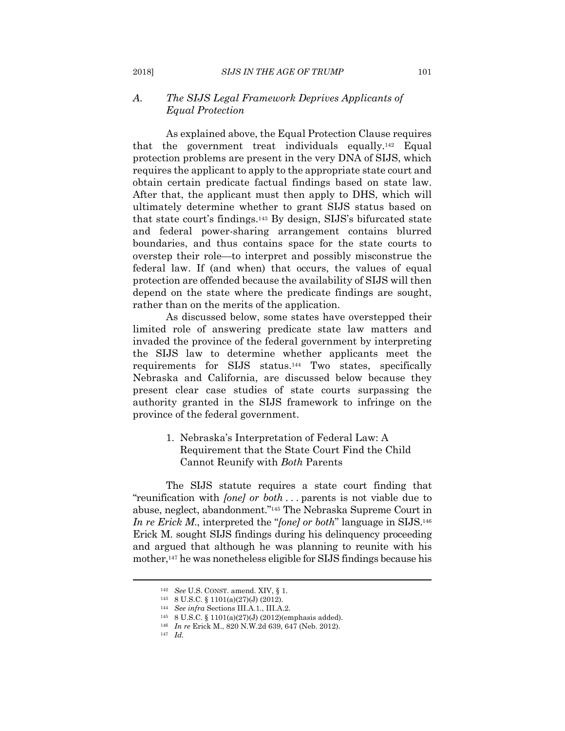#### *A. The SIJS Legal Framework Deprives Applicants of Equal Protection*

As explained above, the Equal Protection Clause requires that the government treat individuals equally.142 Equal protection problems are present in the very DNA of SIJS, which requires the applicant to apply to the appropriate state court and obtain certain predicate factual findings based on state law. After that, the applicant must then apply to DHS, which will ultimately determine whether to grant SIJS status based on that state court's findings.143 By design, SIJS's bifurcated state and federal power-sharing arrangement contains blurred boundaries, and thus contains space for the state courts to overstep their role—to interpret and possibly misconstrue the federal law. If (and when) that occurs, the values of equal protection are offended because the availability of SIJS will then depend on the state where the predicate findings are sought, rather than on the merits of the application.

As discussed below, some states have overstepped their limited role of answering predicate state law matters and invaded the province of the federal government by interpreting the SIJS law to determine whether applicants meet the requirements for SIJS status.144 Two states, specifically Nebraska and California, are discussed below because they present clear case studies of state courts surpassing the authority granted in the SIJS framework to infringe on the province of the federal government.

#### 1. Nebraska's Interpretation of Federal Law: A Requirement that the State Court Find the Child Cannot Reunify with *Both* Parents

The SIJS statute requires a state court finding that "reunification with *[one] or both* . . . parents is not viable due to abuse, neglect, abandonment."145 The Nebraska Supreme Court in *In re Erick M*., interpreted the "*[one] or both*" language in SIJS.146 Erick M. sought SIJS findings during his delinquency proceeding and argued that although he was planning to reunite with his mother,<sup>147</sup> he was nonetheless eligible for SIJS findings because his

 $^{142}$   $\,$  See U.S. CONST. amend. XIV, § 1.  $^{143}$   $\,$  8 U.S.C. § 1101(a)(27)(J) (2012).  $^{144}$   $\,$  See  $infra$  Sections III.A.1., III.A.2.  $^{145}$   $\,$  8 U.S.C. § 1101(a)(27)(J) (2012)(emphasis added).  $^{146}$   $\,$  In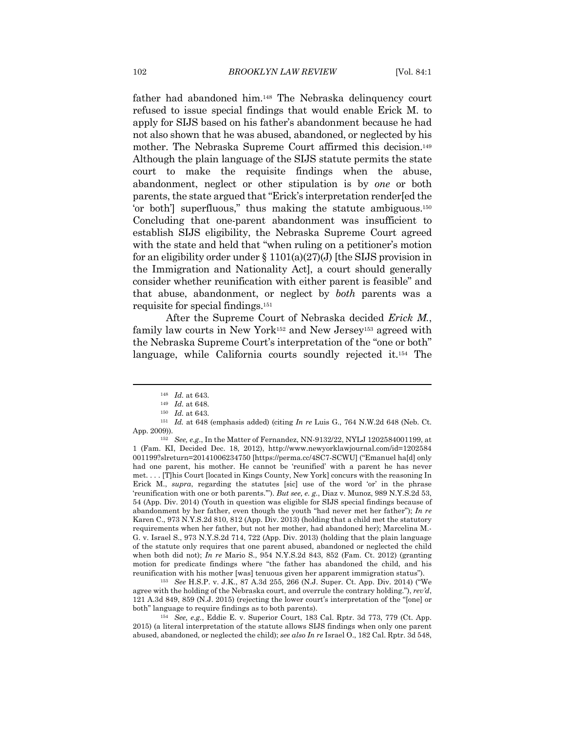father had abandoned him.148 The Nebraska delinquency court refused to issue special findings that would enable Erick M. to apply for SIJS based on his father's abandonment because he had not also shown that he was abused, abandoned, or neglected by his mother. The Nebraska Supreme Court affirmed this decision.149 Although the plain language of the SIJS statute permits the state court to make the requisite findings when the abuse, abandonment, neglect or other stipulation is by *one* or both parents, the state argued that "Erick's interpretation render[ed the 'or both'] superfluous," thus making the statute ambiguous.150 Concluding that one-parent abandonment was insufficient to establish SIJS eligibility, the Nebraska Supreme Court agreed with the state and held that "when ruling on a petitioner's motion for an eligibility order under  $\S 1101(a)(27)(J)$  [the SIJS provision in the Immigration and Nationality Act], a court should generally consider whether reunification with either parent is feasible" and that abuse, abandonment, or neglect by *both* parents was a requisite for special findings.151

After the Supreme Court of Nebraska decided *Erick M.*, family law courts in New York152 and New Jersey153 agreed with the Nebraska Supreme Court's interpretation of the "one or both" language, while California courts soundly rejected it.154 The

reunification with his mother [was] tenuous given her apparent immigration status"). 153 *See* H.S.P. v. J.K., 87 A.3d 255, 266 (N.J. Super. Ct. App. Div. 2014) ("We agree with the holding of the Nebraska court, and overrule the contrary holding."), *rev'd*, 121 A.3d 849, 859 (N.J. 2015) (rejecting the lower court's interpretation of the "[one] or both" language to require findings as to both parents). 154 *See, e.g.*, Eddie E. v. Superior Court, 183 Cal. Rptr. 3d 773, 779 (Ct. App.

2015) (a literal interpretation of the statute allows SIJS findings when only one parent abused, abandoned, or neglected the child); *see also In re* Israel O., 182 Cal. Rptr. 3d 548,

<sup>148</sup> *Id.* at 643.<br><sup>149</sup> *Id.* at 648.<br><sup>150</sup> *Id.* at 648 (emphasis added) (citing *In re* Luis G., 764 N.W.2d 648 (Neb. Ct. App. 2009)).

<sup>152</sup> *See, e.g*., In the Matter of Fernandez, NN-9132/22, NYLJ 1202584001199, at 1 (Fam. KI, Decided Dec. 18, 2012), http://www.newyorklawjournal.com/id=1202584 001199?slreturn=20141006234750 [https://perma.cc/4SC7-SCWU] ("Emanuel ha[d] only had one parent, his mother. He cannot be 'reunified' with a parent he has never met. . . . [T]his Court [located in Kings County, New York] concurs with the reasoning In Erick M., *supra*, regarding the statutes [sic] use of the word 'or' in the phrase 'reunification with one or both parents.'"). *But see, e. g.*, Diaz v. Munoz, 989 N.Y.S.2d 53, 54 (App. Div. 2014) (Youth in question was eligible for SIJS special findings because of abandonment by her father, even though the youth "had never met her father"); *In re* Karen C., 973 N.Y.S.2d 810, 812 (App. Div. 2013) (holding that a child met the statutory requirements when her father, but not her mother, had abandoned her); Marcelina M.- G. v. Israel S., 973 N.Y.S.2d 714, 722 (App. Div. 2013) (holding that the plain language of the statute only requires that one parent abused, abandoned or neglected the child when both did not); *In re* Mario S., 954 N.Y.S.2d 843, 852 (Fam. Ct. 2012) (granting motion for predicate findings where "the father has abandoned the child, and his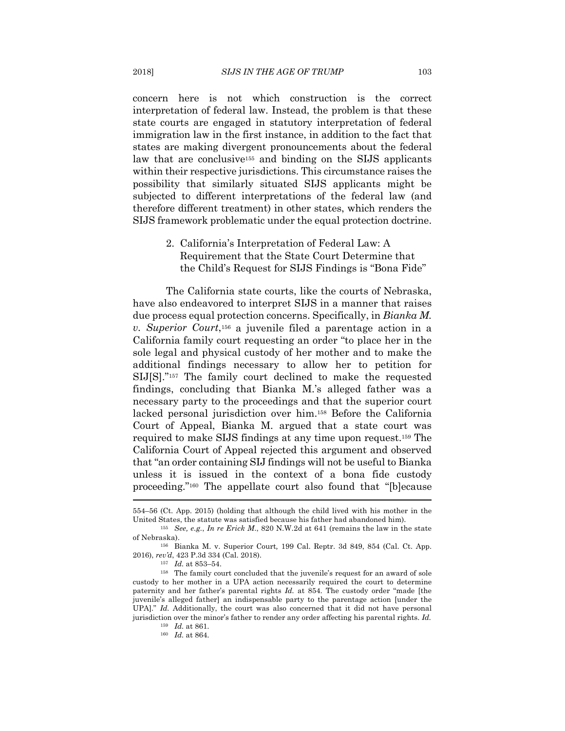concern here is not which construction is the correct interpretation of federal law. Instead, the problem is that these state courts are engaged in statutory interpretation of federal immigration law in the first instance, in addition to the fact that states are making divergent pronouncements about the federal law that are conclusive155 and binding on the SIJS applicants within their respective jurisdictions. This circumstance raises the possibility that similarly situated SIJS applicants might be subjected to different interpretations of the federal law (and therefore different treatment) in other states, which renders the SIJS framework problematic under the equal protection doctrine.

> 2. California's Interpretation of Federal Law: A Requirement that the State Court Determine that the Child's Request for SIJS Findings is "Bona Fide"

The California state courts, like the courts of Nebraska, have also endeavored to interpret SIJS in a manner that raises due process equal protection concerns. Specifically, in *Bianka M. v. Superior Court*,156 a juvenile filed a parentage action in a California family court requesting an order "to place her in the sole legal and physical custody of her mother and to make the additional findings necessary to allow her to petition for SIJ[S]."157 The family court declined to make the requested findings, concluding that Bianka M.'s alleged father was a necessary party to the proceedings and that the superior court lacked personal jurisdiction over him.158 Before the California Court of Appeal, Bianka M. argued that a state court was required to make SIJS findings at any time upon request.159 The California Court of Appeal rejected this argument and observed that "an order containing SIJ findings will not be useful to Bianka unless it is issued in the context of a bona fide custody proceeding."160 The appellate court also found that "[b]ecause

<sup>554–56 (</sup>Ct. App. 2015) (holding that although the child lived with his mother in the United States, the statute was satisfied because his father had abandoned him).

<sup>155</sup> *See, e.g.*, *In re Erick M*., 820 N.W.2d at 641 (remains the law in the state of Nebraska). 156 Bianka M. v. Superior Court*,* 199 Cal. Reptr. 3d 849, 854 (Cal. Ct. App.

<sup>2016),</sup> *rev'd*, 423 P.3d 334 (Cal. 2018). 157 *Id.* at 853–54. 158 The family court concluded that the juvenile's request for an award of sole

custody to her mother in a UPA action necessarily required the court to determine paternity and her father's parental rights *Id.* at 854. The custody order "made [the juvenile's alleged father] an indispensable party to the parentage action [under the UPA]." *Id.* Additionally, the court was also concerned that it did not have personal jurisdiction over the minor's father to render any order affecting his parental rights. *Id.*

<sup>159</sup> *Id.* at 861. 160 *Id.* at 864.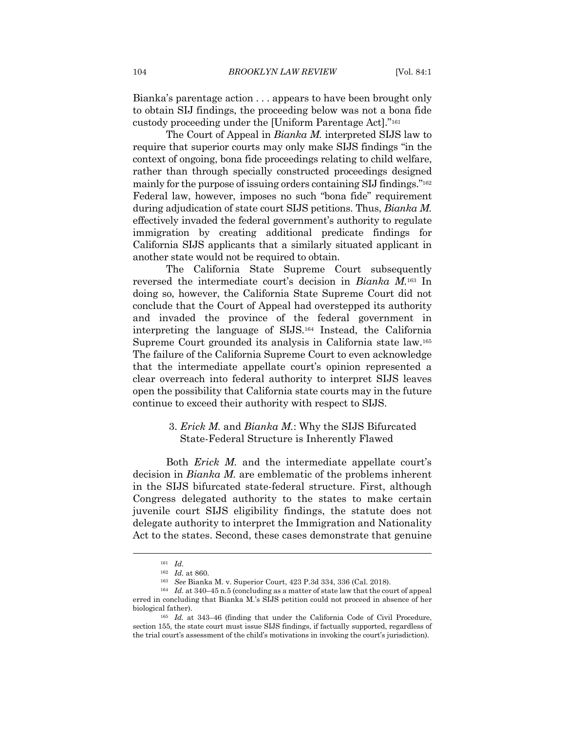Bianka's parentage action . . . appears to have been brought only to obtain SIJ findings, the proceeding below was not a bona fide custody proceeding under the [Uniform Parentage Act]."161

The Court of Appeal in *Bianka M.* interpreted SIJS law to require that superior courts may only make SIJS findings "in the context of ongoing, bona fide proceedings relating to child welfare, rather than through specially constructed proceedings designed mainly for the purpose of issuing orders containing SIJ findings."162 Federal law, however, imposes no such "bona fide" requirement during adjudication of state court SIJS petitions. Thus, *Bianka M.* effectively invaded the federal government's authority to regulate immigration by creating additional predicate findings for California SIJS applicants that a similarly situated applicant in another state would not be required to obtain.

The California State Supreme Court subsequently reversed the intermediate court's decision in *Bianka M.*163 In doing so, however, the California State Supreme Court did not conclude that the Court of Appeal had overstepped its authority and invaded the province of the federal government in interpreting the language of SIJS.164 Instead, the California Supreme Court grounded its analysis in California state law.165 The failure of the California Supreme Court to even acknowledge that the intermediate appellate court's opinion represented a clear overreach into federal authority to interpret SIJS leaves open the possibility that California state courts may in the future continue to exceed their authority with respect to SIJS.

#### 3. *Erick M.* and *Bianka M.*: Why the SIJS Bifurcated State-Federal Structure is Inherently Flawed

Both *Erick M.* and the intermediate appellate court's decision in *Bianka M.* are emblematic of the problems inherent in the SIJS bifurcated state-federal structure. First, although Congress delegated authority to the states to make certain juvenile court SIJS eligibility findings, the statute does not delegate authority to interpret the Immigration and Nationality Act to the states. Second, these cases demonstrate that genuine

<sup>&</sup>lt;sup>161</sup> *Id.* <br><sup>162</sup> *Id.* at 860.

<sup>162</sup> *Id.* at 860. 163 *See* Bianka M. v. Superior Court, 423 P.3d 334, 336 (Cal. 2018). 164 *Id.* at 340–45 n.5 (concluding as a matter of state law that the court of appeal

erred in concluding that Bianka M.'s SIJS petition could not proceed in absence of her

biological father). 165 *Id.* at 343–46 (finding that under the California Code of Civil Procedure, section 155, the state court must issue SIJS findings, if factually supported, regardless of the trial court's assessment of the child's motivations in invoking the court's jurisdiction).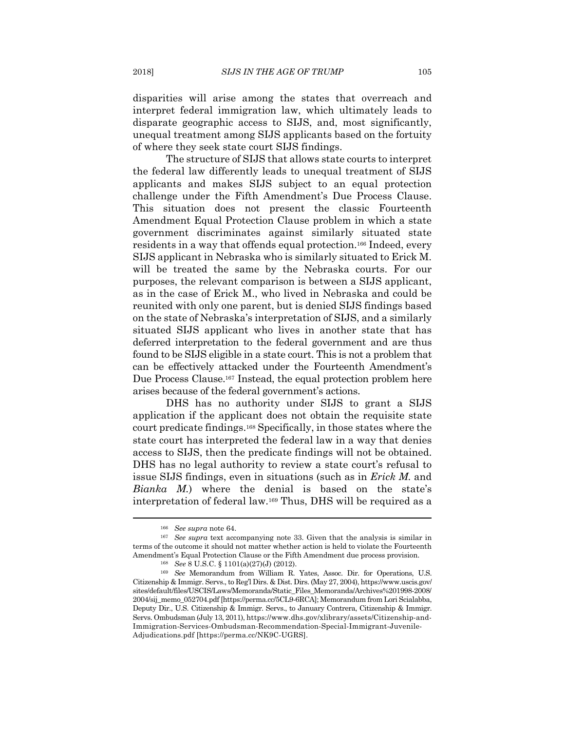disparities will arise among the states that overreach and interpret federal immigration law, which ultimately leads to disparate geographic access to SIJS, and, most significantly, unequal treatment among SIJS applicants based on the fortuity of where they seek state court SIJS findings.

The structure of SIJS that allows state courts to interpret the federal law differently leads to unequal treatment of SIJS applicants and makes SIJS subject to an equal protection challenge under the Fifth Amendment's Due Process Clause. This situation does not present the classic Fourteenth Amendment Equal Protection Clause problem in which a state government discriminates against similarly situated state residents in a way that offends equal protection.166 Indeed, every SIJS applicant in Nebraska who is similarly situated to Erick M. will be treated the same by the Nebraska courts. For our purposes, the relevant comparison is between a SIJS applicant, as in the case of Erick M., who lived in Nebraska and could be reunited with only one parent, but is denied SIJS findings based on the state of Nebraska's interpretation of SIJS, and a similarly situated SIJS applicant who lives in another state that has deferred interpretation to the federal government and are thus found to be SIJS eligible in a state court. This is not a problem that can be effectively attacked under the Fourteenth Amendment's Due Process Clause.167 Instead, the equal protection problem here arises because of the federal government's actions.

DHS has no authority under SIJS to grant a SIJS application if the applicant does not obtain the requisite state court predicate findings.168 Specifically, in those states where the state court has interpreted the federal law in a way that denies access to SIJS, then the predicate findings will not be obtained. DHS has no legal authority to review a state court's refusal to issue SIJS findings, even in situations (such as in *Erick M.* and *Bianka M.*) where the denial is based on the state's interpretation of federal law.169 Thus, DHS will be required as a

<sup>&</sup>lt;sup>166</sup> See supra note 64.<br><sup>167</sup> See supra text accompanying note 33. Given that the analysis is similar in terms of the outcome it should not matter whether action is held to violate the Fourteenth Amendment's Equal Protection Clause or the Fifth Amendment due process provision.<br><sup>168</sup> See 8 U.S.C. § 1101(a)(27)(J) (2012).<br><sup>169</sup> See Memorandum from William R. Yates, Assoc. Dir. for Operations, U.S.

Citizenship & Immigr. Servs., to Reg'l Dirs. & Dist. Dirs. (May 27, 2004), https://www.uscis.gov/ sites/default/files/USCIS/Laws/Memoranda/Static\_Files\_Memoranda/Archives%201998-2008/ 2004/sij\_memo\_052704.pdf [https://perma.cc/5CL9-6RCA]; Memorandum from Lori Scialabba, Deputy Dir., U.S. Citizenship & Immigr. Servs., to January Contrera, Citizenship & Immigr. Servs. Ombudsman (July 13, 2011), https://www.dhs.gov/xlibrary/assets/Citizenship-and-Immigration-Services-Ombudsman-Recommendation-Special-Immigrant-Juvenile-Adjudications.pdf [https://perma.cc/NK9C-UGRS].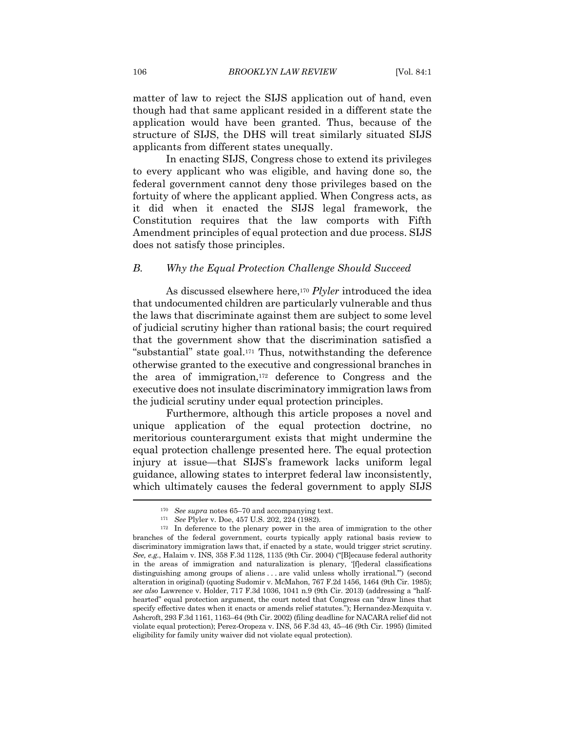matter of law to reject the SIJS application out of hand, even though had that same applicant resided in a different state the application would have been granted. Thus, because of the structure of SIJS, the DHS will treat similarly situated SIJS applicants from different states unequally.

In enacting SIJS, Congress chose to extend its privileges to every applicant who was eligible, and having done so, the federal government cannot deny those privileges based on the fortuity of where the applicant applied. When Congress acts, as it did when it enacted the SIJS legal framework, the Constitution requires that the law comports with Fifth Amendment principles of equal protection and due process. SIJS does not satisfy those principles.

#### *B. Why the Equal Protection Challenge Should Succeed*

As discussed elsewhere here,170 *Plyler* introduced the idea that undocumented children are particularly vulnerable and thus the laws that discriminate against them are subject to some level of judicial scrutiny higher than rational basis; the court required that the government show that the discrimination satisfied a "substantial" state goal.171 Thus, notwithstanding the deference otherwise granted to the executive and congressional branches in the area of immigration,172 deference to Congress and the executive does not insulate discriminatory immigration laws from the judicial scrutiny under equal protection principles.

Furthermore, although this article proposes a novel and unique application of the equal protection doctrine, no meritorious counterargument exists that might undermine the equal protection challenge presented here. The equal protection injury at issue—that SIJS's framework lacks uniform legal guidance, allowing states to interpret federal law inconsistently, which ultimately causes the federal government to apply SIJS

<sup>170</sup> *See supra* notes 65–70 and accompanying text. 171 *See* Plyler v. Doe, 457 U.S. 202, 224 (1982)*.*

<sup>&</sup>lt;sup>172</sup> In deference to the plenary power in the area of immigration to the other branches of the federal government, courts typically apply rational basis review to discriminatory immigration laws that, if enacted by a state, would trigger strict scrutiny. *See, e.g.*, Halaim v. INS, 358 F.3d 1128, 1135 (9th Cir. 2004) ("[B]ecause federal authority in the areas of immigration and naturalization is plenary, '[f]ederal classifications distinguishing among groups of aliens . . . are valid unless wholly irrational.'") (second alteration in original) (quoting Sudomir v. McMahon, 767 F.2d 1456, 1464 (9th Cir. 1985); *see also* Lawrence v. Holder, 717 F.3d 1036, 1041 n.9 (9th Cir. 2013) (addressing a "halfhearted" equal protection argument, the court noted that Congress can "draw lines that specify effective dates when it enacts or amends relief statutes."); Hernandez-Mezquita v. Ashcroft, 293 F.3d 1161, 1163–64 (9th Cir. 2002) (filing deadline for NACARA relief did not violate equal protection); Perez-Oropeza v. INS, 56 F.3d 43, 45–46 (9th Cir. 1995) (limited eligibility for family unity waiver did not violate equal protection).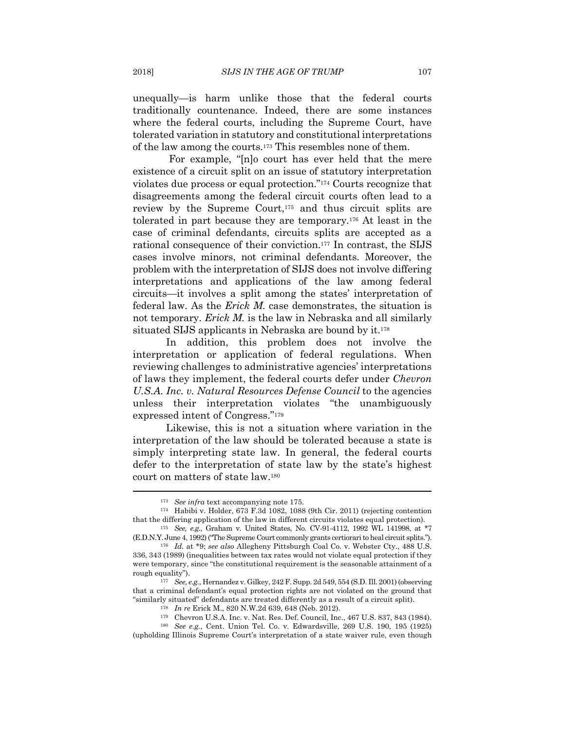unequally—is harm unlike those that the federal courts traditionally countenance. Indeed, there are some instances where the federal courts, including the Supreme Court, have tolerated variation in statutory and constitutional interpretations of the law among the courts.173 This resembles none of them.

 For example, "[n]o court has ever held that the mere existence of a circuit split on an issue of statutory interpretation violates due process or equal protection."174 Courts recognize that disagreements among the federal circuit courts often lead to a review by the Supreme Court,175 and thus circuit splits are tolerated in part because they are temporary.176 At least in the case of criminal defendants, circuits splits are accepted as a rational consequence of their conviction.177 In contrast, the SIJS cases involve minors, not criminal defendants. Moreover, the problem with the interpretation of SIJS does not involve differing interpretations and applications of the law among federal circuits—it involves a split among the states' interpretation of federal law. As the *Erick M.* case demonstrates, the situation is not temporary. *Erick M.* is the law in Nebraska and all similarly situated SIJS applicants in Nebraska are bound by it.178

In addition, this problem does not involve the interpretation or application of federal regulations. When reviewing challenges to administrative agencies' interpretations of laws they implement, the federal courts defer under *Chevron U.S.A. Inc. v. Natural Resources Defense Council* to the agencies unless their interpretation violates "the unambiguously expressed intent of Congress."179

Likewise, this is not a situation where variation in the interpretation of the law should be tolerated because a state is simply interpreting state law. In general, the federal courts defer to the interpretation of state law by the state's highest court on matters of state law.180

<sup>173</sup> *See infra* text accompanying note 175. 174 Habibi v. Holder, 673 F.3d 1082, 1088 (9th Cir. 2011) (rejecting contention that the differing application of the law in different circuits violates equal protection). 175 *See, e.g.*, Graham v. United States, No. CV-91-4112, 1992 WL 141998, at \*7

<sup>(</sup>E.D.N.Y. June 4, 1992) ("The Supreme Court commonly grants certiorari to heal circuit splits."). 176 *Id.* at \*9; *see also* Allegheny Pittsburgh Coal Co. v. Webster Cty., 488 U.S.

<sup>336, 343 (1989) (</sup>inequalities between tax rates would not violate equal protection if they were temporary, since "the constitutional requirement is the seasonable attainment of a rough equality"). 177 *See, e.g.*, Hernandez v. Gilkey, 242 F. Supp. 2d 549, 554 (S.D. Ill. 2001) (observing

that a criminal defendant's equal protection rights are not violated on the ground that "similarly situated" defendants are treated differently as a result of a circuit split).<br>
<sup>178</sup> In re Erick M., 820 N.W.2d 639, 648 (Neb. 2012).<br>
<sup>179</sup> Chevron U.S.A. Inc. v. Nat. Res. Def. Council, Inc., 467 U.S. 837, 84

<sup>(</sup>upholding Illinois Supreme Court's interpretation of a state waiver rule, even though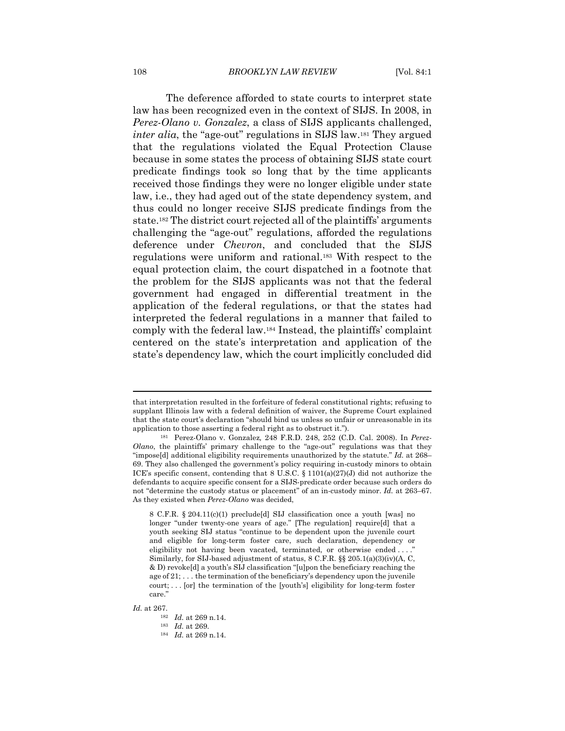The deference afforded to state courts to interpret state law has been recognized even in the context of SIJS. In 2008, in *Perez-Olano v. Gonzalez*, a class of SIJS applicants challenged, *inter alia*, the "age-out" regulations in SIJS law.<sup>181</sup> They argued that the regulations violated the Equal Protection Clause because in some states the process of obtaining SIJS state court predicate findings took so long that by the time applicants received those findings they were no longer eligible under state law, i.e., they had aged out of the state dependency system, and thus could no longer receive SIJS predicate findings from the state.182 The district court rejected all of the plaintiffs' arguments challenging the "age-out" regulations, afforded the regulations deference under *Chevron*, and concluded that the SIJS regulations were uniform and rational.183 With respect to the equal protection claim, the court dispatched in a footnote that the problem for the SIJS applicants was not that the federal government had engaged in differential treatment in the application of the federal regulations, or that the states had interpreted the federal regulations in a manner that failed to comply with the federal law.184 Instead, the plaintiffs' complaint centered on the state's interpretation and application of the state's dependency law, which the court implicitly concluded did

that interpretation resulted in the forfeiture of federal constitutional rights; refusing to supplant Illinois law with a federal definition of waiver, the Supreme Court explained that the state court's declaration "should bind us unless so unfair or unreasonable in its application to those asserting a federal right as to obstruct it."). 181 Perez-Olano v. Gonzalez*,* 248 F.R.D. 248, 252 (C.D. Cal. 2008). In *Perez-*

*Olano*, the plaintiffs' primary challenge to the "age-out" regulations was that they "impose[d] additional eligibility requirements unauthorized by the statute." *Id.* at 268– 69. They also challenged the government's policy requiring in-custody minors to obtain ICE's specific consent, contending that 8 U.S.C. § 1101(a)(27)(J) did not authorize the defendants to acquire specific consent for a SIJS-predicate order because such orders do not "determine the custody status or placement" of an in-custody minor. *Id.* at 263–67. As they existed when *Perez-Olano* was decided,

<sup>8</sup> C.F.R. § 204.11(c)(1) preclude[d] SIJ classification once a youth [was] no longer "under twenty-one years of age." [The regulation] require[d] that a youth seeking SIJ status "continue to be dependent upon the juvenile court and eligible for long-term foster care, such declaration, dependency or eligibility not having been vacated, terminated, or otherwise ended ...." Similarly, for SIJ-based adjustment of status, 8 C.F.R. §§ 205.1(a)(3)(iv)(A, C, & D) revoke[d] a youth's SIJ classification "[u]pon the beneficiary reaching the age of 21; . . . the termination of the beneficiary's dependency upon the juvenile court; . . . [or] the termination of the [youth's] eligibility for long-term foster care."

*Id.* at 267. 182 *Id.* at 269 n.14. 183 *Id.* at 269. 184 *Id.* at 269 n.14.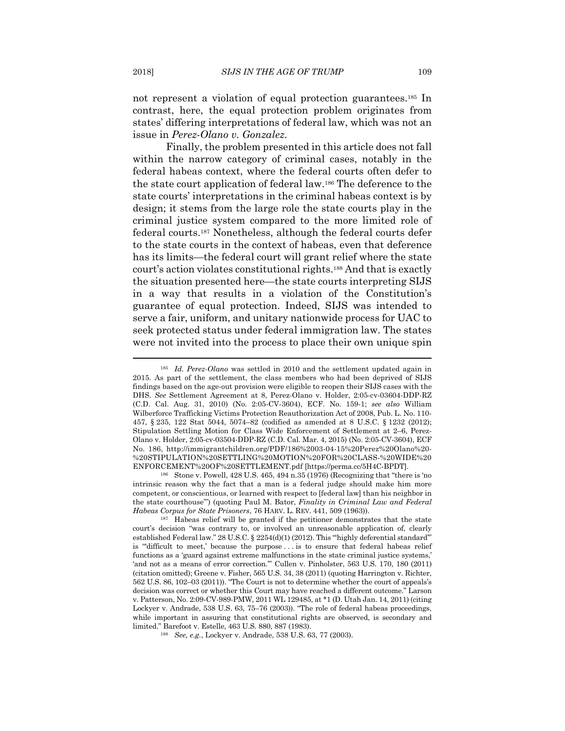not represent a violation of equal protection guarantees.185 In contrast, here, the equal protection problem originates from states' differing interpretations of federal law, which was not an issue in *Perez-Olano v. Gonzalez*.

Finally, the problem presented in this article does not fall within the narrow category of criminal cases, notably in the federal habeas context, where the federal courts often defer to the state court application of federal law.186 The deference to the state courts' interpretations in the criminal habeas context is by design; it stems from the large role the state courts play in the criminal justice system compared to the more limited role of federal courts.187 Nonetheless, although the federal courts defer to the state courts in the context of habeas, even that deference has its limits—the federal court will grant relief where the state court's action violates constitutional rights.188 And that is exactly the situation presented here—the state courts interpreting SIJS in a way that results in a violation of the Constitution's guarantee of equal protection. Indeed, SIJS was intended to serve a fair, uniform, and unitary nationwide process for UAC to seek protected status under federal immigration law. The states were not invited into the process to place their own unique spin

intrinsic reason why the fact that a man is a federal judge should make him more competent, or conscientious, or learned with respect to [federal law] than his neighbor in the state courthouse'") (quoting Paul M. Bator, *Finality in Criminal Law and Federal Habeas Corpus for State Prisoners*, 76 HARV. L. REV. 441, 509 (1963)).<br><sup>187</sup> Habeas relief will be granted if the petitioner demonstrates that the state

<sup>185</sup> *Id. Perez-Olano* was settled in 2010 and the settlement updated again in 2015. As part of the settlement, the class members who had been deprived of SIJS findings based on the age-out provision were eligible to reopen their SIJS cases with the DHS. *See* Settlement Agreement at 8, Perez-Olano v. Holder, 2:05-cv-03604-DDP-RZ (C.D. Cal. Aug. 31, 2010) (No. 2:05-CV-3604), ECF. No. 159-1; *see also* William Wilberforce Trafficking Victims Protection Reauthorization Act of 2008, Pub. L. No. 110- 457, § 235, 122 Stat 5044, 5074–82 (codified as amended at 8 U.S.C. § 1232 (2012); Stipulation Settling Motion for Class Wide Enforcement of Settlement at 2–6, Perez-Olano v. Holder, 2:05-cv-03504-DDP-RZ (C.D. Cal. Mar. 4, 2015) (No. 2:05-CV-3604), ECF No. 186, http://immigrantchildren.org/PDF/186%2003-04-15%20Perez%20Olano%20- %20STIPULATION%20SETTLING%20MOTION%20FOR%20CLASS-%20WIDE%20 ENFORCEMENT%20OF%20SETTLEMENT.pdf [https://perma.cc/5H4C-BPDT].<br><sup>186</sup> Stone v. Powell, 428 U.S. 465, 494 n.35 (1976) (Recognizing that "there is 'no

court's decision "was contrary to, or involved an unreasonable application of, clearly established Federal law." 28 U.S.C. § 2254(d)(1) (2012). This "'highly deferential standard'" is "'difficult to meet,' because the purpose . . . is to ensure that federal habeas relief functions as a 'guard against extreme malfunctions in the state criminal justice systems,' 'and not as a means of error correction.'" Cullen v. Pinholster, 563 U.S. 170, 180 (2011) (citation omitted); Greene v. Fisher, 565 U.S. 34, 38 (2011) (quoting Harrington v. Richter, 562 U.S. 86, 102–03 (2011)). "The Court is not to determine whether the court of appeals's decision was correct or whether this Court may have reached a different outcome." Larson v. Patterson, No. 2:09-CV-989-PMW, 2011 WL 129485, at \*1 (D. Utah Jan. 14, 2011) (citing Lockyer v. Andrade, 538 U.S. 63, 75–76 (2003)). "The role of federal habeas proceedings, while important in assuring that constitutional rights are observed, is secondary and limited." Barefoot v. Estelle, 463 U.S. 880, 887 (1983). 188 *See, e.g.*, Lockyer v. Andrade, 538 U.S. 63, 77 (2003).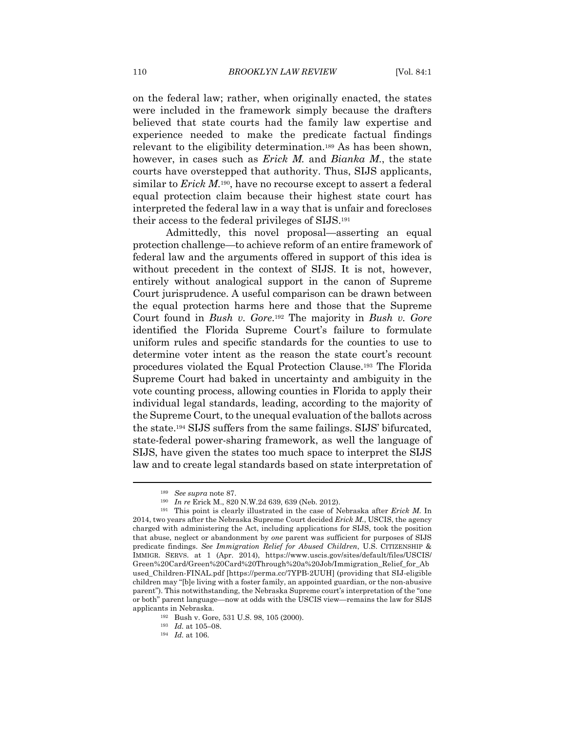on the federal law; rather, when originally enacted, the states were included in the framework simply because the drafters believed that state courts had the family law expertise and experience needed to make the predicate factual findings relevant to the eligibility determination.189 As has been shown, however, in cases such as *Erick M.* and *Bianka M*., the state courts have overstepped that authority. Thus, SIJS applicants, similar to *Erick M*.190, have no recourse except to assert a federal equal protection claim because their highest state court has interpreted the federal law in a way that is unfair and forecloses their access to the federal privileges of SIJS.191

Admittedly, this novel proposal—asserting an equal protection challenge—to achieve reform of an entire framework of federal law and the arguments offered in support of this idea is without precedent in the context of SIJS. It is not, however, entirely without analogical support in the canon of Supreme Court jurisprudence. A useful comparison can be drawn between the equal protection harms here and those that the Supreme Court found in *Bush v. Gore*.192 The majority in *Bush v. Gore* identified the Florida Supreme Court's failure to formulate uniform rules and specific standards for the counties to use to determine voter intent as the reason the state court's recount procedures violated the Equal Protection Clause.193 The Florida Supreme Court had baked in uncertainty and ambiguity in the vote counting process, allowing counties in Florida to apply their individual legal standards, leading, according to the majority of the Supreme Court, to the unequal evaluation of the ballots across the state.194 SIJS suffers from the same failings. SIJS' bifurcated, state-federal power-sharing framework, as well the language of SIJS, have given the states too much space to interpret the SIJS law and to create legal standards based on state interpretation of

<sup>189</sup> *See supra* note 87. 190 *In re* Erick M., 820 N.W.2d 639, 639 (Neb. 2012). 191 This point is clearly illustrated in the case of Nebraska after *Erick M*. In 2014, two years after the Nebraska Supreme Court decided *Erick M.*, USCIS, the agency charged with administering the Act, including applications for SIJS, took the position that abuse, neglect or abandonment by *one* parent was sufficient for purposes of SIJS predicate findings. *See Immigration Relief for Abused Children*, U.S. CITIZENSHIP & IMMIGR. SERVS. at 1 (Apr. 2014), https://www.uscis.gov/sites/default/files/USCIS/ Green%20Card/Green%20Card%20Through%20a%20Job/Immigration\_Relief\_for\_Ab used\_Children-FINAL.pdf [https://perma.cc/7YPB-2UUH] (providing that SIJ-eligible children may "[b]e living with a foster family, an appointed guardian, or the non-abusive parent"). This notwithstanding, the Nebraska Supreme court's interpretation of the "one or both" parent language—now at odds with the USCIS view—remains the law for SIJS applicants in Nebraska. 192 Bush v. Gore, 531 U.S. 98, 105 (2000). 193 *Id.* at 105–08. 194 *Id.* at 106.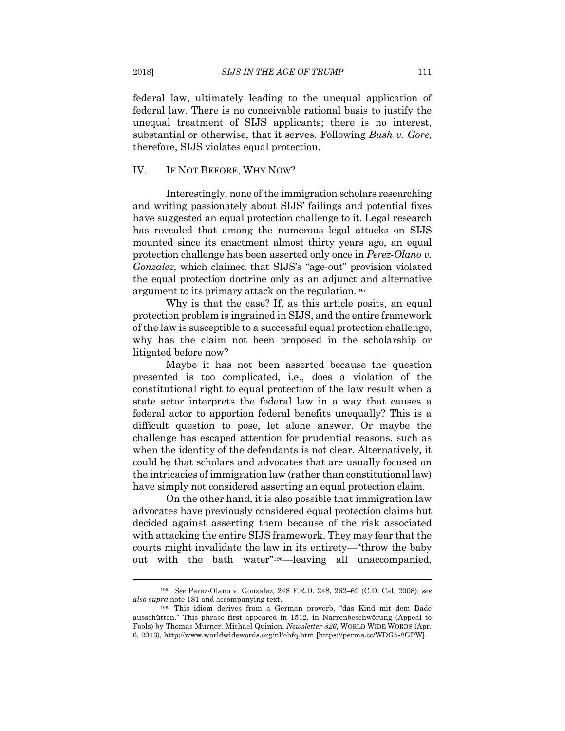federal law, ultimately leading to the unequal application of federal law. There is no conceivable rational basis to justify the unequal treatment of SIJS applicants; there is no interest, substantial or otherwise, that it serves. Following *Bush v. Gore*, therefore, SIJS violates equal protection.

#### IV. IF NOT BEFORE, WHY NOW?

Interestingly, none of the immigration scholars researching and writing passionately about SIJS' failings and potential fixes have suggested an equal protection challenge to it. Legal research has revealed that among the numerous legal attacks on SIJS mounted since its enactment almost thirty years ago, an equal protection challenge has been asserted only once in *Perez-Olano v. Gonzalez*, which claimed that SIJS's "age-out" provision violated the equal protection doctrine only as an adjunct and alternative argument to its primary attack on the regulation.195

Why is that the case? If, as this article posits, an equal protection problem is ingrained in SIJS, and the entire framework of the law is susceptible to a successful equal protection challenge, why has the claim not been proposed in the scholarship or litigated before now?

Maybe it has not been asserted because the question presented is too complicated, i.e., does a violation of the constitutional right to equal protection of the law result when a state actor interprets the federal law in a way that causes a federal actor to apportion federal benefits unequally? This is a difficult question to pose, let alone answer. Or maybe the challenge has escaped attention for prudential reasons, such as when the identity of the defendants is not clear. Alternatively, it could be that scholars and advocates that are usually focused on the intricacies of immigration law (rather than constitutional law) have simply not considered asserting an equal protection claim.

On the other hand, it is also possible that immigration law advocates have previously considered equal protection claims but decided against asserting them because of the risk associated with attacking the entire SIJS framework. They may fear that the courts might invalidate the law in its entirety—"throw the baby out with the bath water"196—leaving all unaccompanied,

<sup>195</sup> *See* Perez-Olano v. Gonzalez, 248 F.R.D. 248, 262–69 (C.D. Cal. 2008); *see also supra* note 181 and accompanying text. 196 This idiom derives from a German proverb, "das Kind mit dem Bade

ausschütten." This phrase first appeared in 1512, in Narrenbeschwörung (Appeal to Fools) by Thomas Murner. Michael Quinion, *Newsletter 826,* WORLD WIDE WORDS (Apr. 6, 2013), http://www.worldwidewords.org/nl/ohfq.htm [https://perma.cc/WDG5-8GPW].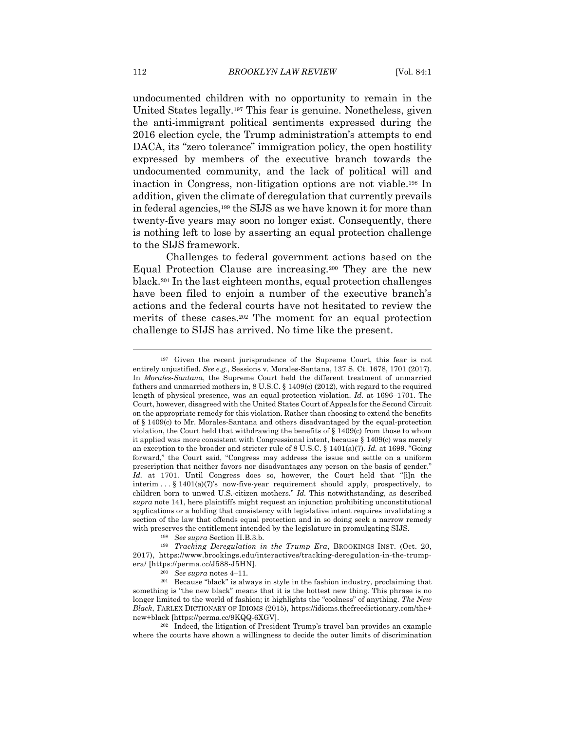undocumented children with no opportunity to remain in the United States legally.197 This fear is genuine. Nonetheless, given the anti-immigrant political sentiments expressed during the 2016 election cycle, the Trump administration's attempts to end DACA, its "zero tolerance" immigration policy, the open hostility expressed by members of the executive branch towards the undocumented community, and the lack of political will and inaction in Congress, non-litigation options are not viable.198 In addition, given the climate of deregulation that currently prevails in federal agencies,199 the SIJS as we have known it for more than twenty-five years may soon no longer exist. Consequently, there is nothing left to lose by asserting an equal protection challenge to the SIJS framework.

Challenges to federal government actions based on the Equal Protection Clause are increasing.200 They are the new black.201 In the last eighteen months, equal protection challenges have been filed to enjoin a number of the executive branch's actions and the federal courts have not hesitated to review the merits of these cases.202 The moment for an equal protection challenge to SIJS has arrived. No time like the present.

where the courts have shown a willingness to decide the outer limits of discrimination

<sup>197</sup> Given the recent jurisprudence of the Supreme Court, this fear is not entirely unjustified. *See e.g.*, Sessions v. Morales-Santana, 137 S. Ct. 1678, 1701 (2017). In *Morales-Santana*, the Supreme Court held the different treatment of unmarried fathers and unmarried mothers in, 8 U.S.C. § 1409(c) (2012), with regard to the required length of physical presence, was an equal-protection violation. *Id.* at 1696–1701. The Court, however, disagreed with the United States Court of Appeals for the Second Circuit on the appropriate remedy for this violation. Rather than choosing to extend the benefits of § 1409(c) to Mr. Morales-Santana and others disadvantaged by the equal-protection violation, the Court held that withdrawing the benefits of § 1409(c) from those to whom it applied was more consistent with Congressional intent, because § 1409(c) was merely an exception to the broader and stricter rule of 8 U.S.C. § 1401(a)(7). *Id.* at 1699. "Going forward," the Court said, "Congress may address the issue and settle on a uniform prescription that neither favors nor disadvantages any person on the basis of gender." *Id.* at 1701. Until Congress does so, however, the Court held that "[i]n the interim  $\ldots$  § 1401(a)(7)'s now-five-year requirement should apply, prospectively, to children born to unwed U.S.-citizen mothers." *Id.* This notwithstanding, as described *supra* note 141, here plaintiffs might request an injunction prohibiting unconstitutional applications or a holding that consistency with legislative intent requires invalidating a section of the law that offends equal protection and in so doing seek a narrow remedy with preserves the entitlement intended by the legislature in promulgating SIJS.<br><sup>198</sup> See supra Section II.B.3.b.<br><sup>199</sup> *Tracking Deregulation in the Trump Era*, BROOKINGS INST. (Oct. 20,

<sup>2017),</sup> https://www.brookings.edu/interactives/tracking-deregulation-in-the-trumpera/ [https://perma.cc/J588-J5HN]. 200 *See supra* notes 4–11. 201 Because "black" is always in style in the fashion industry, proclaiming that

something is "the new black" means that it is the hottest new thing. This phrase is no longer limited to the world of fashion; it highlights the "coolness" of anything. *The New Black*, FARLEX DICTIONARY OF IDIOMS (2015), https://idioms.thefreedictionary.com/the+ new+black [https://perma.cc/9KQQ-6XGV]. 202 Indeed, the litigation of President Trump's travel ban provides an example